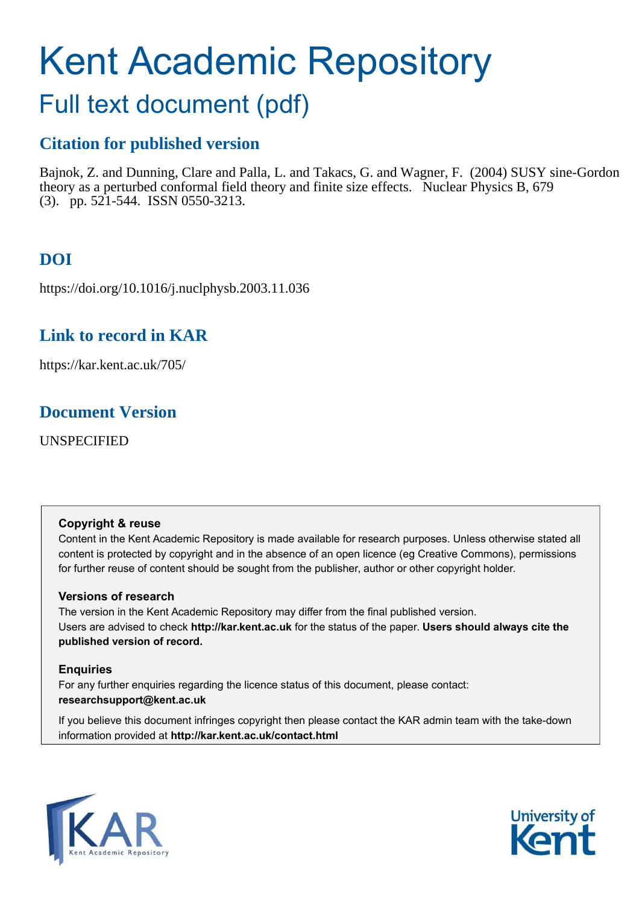# Kent Academic Repository

# Full text document (pdf)

# **Citation for published version**

Bajnok, Z. and Dunning, Clare and Palla, L. and Takacs, G. and Wagner, F. (2004) SUSY sine-Gordon theory as a perturbed conformal field theory and finite size effects. Nuclear Physics B, 679 (3). pp. 521-544. ISSN 0550-3213.

# **DOI**

https://doi.org/10.1016/j.nuclphysb.2003.11.036

# **Link to record in KAR**

https://kar.kent.ac.uk/705/

# **Document Version**

UNSPECIFIED

# **Copyright & reuse**

Content in the Kent Academic Repository is made available for research purposes. Unless otherwise stated all content is protected by copyright and in the absence of an open licence (eg Creative Commons), permissions for further reuse of content should be sought from the publisher, author or other copyright holder.

# **Versions of research**

The version in the Kent Academic Repository may differ from the final published version. Users are advised to check **http://kar.kent.ac.uk** for the status of the paper. **Users should always cite the published version of record.**

# **Enquiries**

For any further enquiries regarding the licence status of this document, please contact: **researchsupport@kent.ac.uk**

If you believe this document infringes copyright then please contact the KAR admin team with the take-down information provided at **http://kar.kent.ac.uk/contact.html**



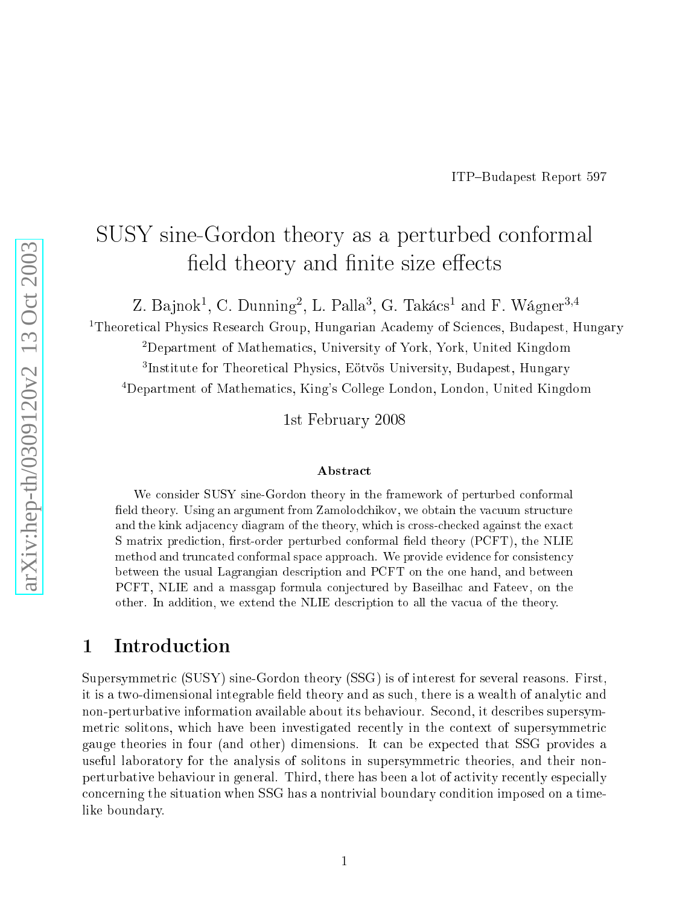### ITP-Budapest Report 597

# SUSY sine-Gordon theory as <sup>a</sup> perturbed onformal field theory and finite size effects

Z. Bajnok<sup>1</sup>, C. Dunning<sup>2</sup>, L. Palla<sup>3</sup>, G. Takács<sup>1</sup> and F. Wágner<sup>3,4</sup>

<sup>1</sup>Theoretical Physics Research Group, Hungarian Academy of Sciences, Budapest, Hungary

<sup>2</sup>Department of Mathematics, University of York, York, United Kingdom

<sup>3</sup>Institute for Theoretical Physics, Eötvös University, Budapest, Hungary

4Department of Mathemati
s, King's College London, London, United Kingdom

1st February 2008 **2008** 

### Abstra
t

We onsider SUSY sine-Gordon theory in the framework of perturbed onformal eld theory. Using an argument from Zamolod
hikov, we obtain the va
uum stru
ture and the mother the process  $\mu$  and  $\mu$  and the theory, which is the exact the exact  $\mu$ S matrix predi
tion, rst-order perturbed onformal eld theory (PCFT), the NLIE method and trun
ated onformal spa
e approa
h. We provide eviden
e for onsisten
y between the usual Lagrangian des
ription and PCFT on the one hand, and between PCFT, NLIE and <sup>a</sup> massgap formula onje
tured by Baseilha and Fateev, on the other. In addition, we extend the NLIE des
ription to all the va
ua of the theory.

# 1 Introduction

Supersymmetri (SUSY) sine-Gordon theory (SSG) is of interest for several reasons. First, it is a two-dimensional integrable field theory and as such, there is a wealth of analytic and non-perturbative information available about its behaviour. Second, it describes supersymmetric solitons, which have been investigated recently in the context of supersymmetric gauge theories in four (and other) dimensions. It an be expe
ted that SSG provides a useful laboratory for the analysis of solitons in supersymmetric theories, and their nonperturbative behaviour in general. Third, there has been a lot of activity recently especially on
erning the situation when SSG has a nontrivial boundary ondition imposed on a timelike boundary.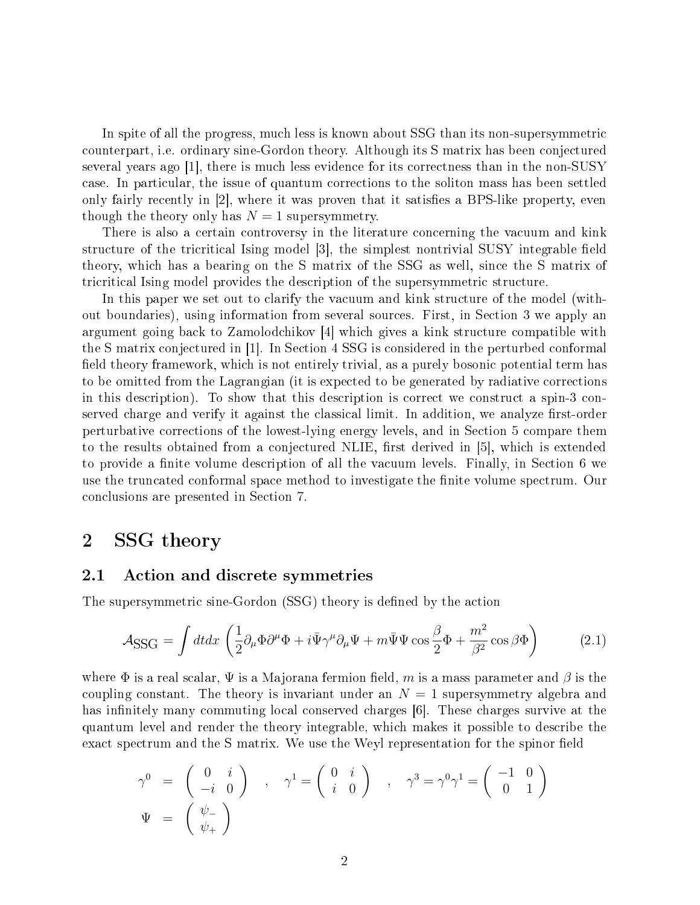In spite of all the progress, mu
h less is known about SSG than its non-supersymmetri counterpart, i.e. ordinary sine-Gordon theory. Although its S matrix has been conjectured several years ago  $|1|$ , there is much less evidence for its correctness than in the non-SUSY case. In particular, the issue of quantum corrections to the soliton mass has been settled only fairly recently in  $[2]$ , where it was proven that it satisfies a BPS-like property, even though the theory only has  $N = 1$  supersymmetry.

There is also a certain controversy in the literature concerning the vacuum and kink structure of the tricritical Ising model [3], the simplest nontrivial SUSY integrable field theory, whi
h has a bearing on the S matrix of the SSG as well, sin
e the S matrix of tricritical Ising model provides the description of the supersymmetric structure.

In this paper we set out to clarify the vacuum and kink structure of the model (without boundaries), using information from several sour
es. First, in Se
tion 3 we apply an argument going back to Zamolodchikov [4] which gives a kink structure compatible with the S matrix conjectured in  $[1]$ . In Section 4 SSG is considered in the perturbed conformal field theory framework, which is not entirely trivial, as a purely bosonic potential term has to be omitted from the Lagrangian (it is expected to be generated by radiative corrections in this description). To show that this description is correct we construct a spin-3 conserved charge and verify it against the classical limit. In addition, we analyze first-order perturbative orre
tions of the lowest-lying energy levels, and in Se
tion 5 ompare them to the results obtained from a conjectured NLIE, first derived in [5], which is extended to provide a finite volume description of all the vacuum levels. Finally, in Section 6 we use the truncated conformal space method to investigate the finite volume spectrum. Our on
lusions are presented in Se
tion 7.

# <sup>2</sup> SSG theory

### 2.1 Action and discrete symmetries

The supersymmetric sine-Gordon (SSG) theory is defined by the action

$$
\mathcal{A}_{\text{SSG}} = \int dt dx \left( \frac{1}{2} \partial_{\mu} \Phi \partial^{\mu} \Phi + i \bar{\Psi} \gamma^{\mu} \partial_{\mu} \Psi + m \bar{\Psi} \Psi \cos \frac{\beta}{2} \Phi + \frac{m^2}{\beta^2} \cos \beta \Phi \right) \tag{2.1}
$$

where  $\Phi$  is a real scalar,  $\Psi$  is a Majorana fermion field, m is a mass parameter and  $\beta$  is the coupling constant. The theory is invariant under an  $N = 1$  supersymmetry algebra and has infinitely many commuting local conserved charges [6]. These charges survive at the quantum level and render the theory integrable, whi
h makes it possible to des
ribe the exact spectrum and the S matrix. We use the Weyl representation for the spinor field

$$
\gamma^{0} = \begin{pmatrix} 0 & i \\ -i & 0 \end{pmatrix} , \quad \gamma^{1} = \begin{pmatrix} 0 & i \\ i & 0 \end{pmatrix} , \quad \gamma^{3} = \gamma^{0} \gamma^{1} = \begin{pmatrix} -1 & 0 \\ 0 & 1 \end{pmatrix}
$$
  

$$
\Psi = \begin{pmatrix} \psi_{-} \\ \psi_{+} \end{pmatrix}
$$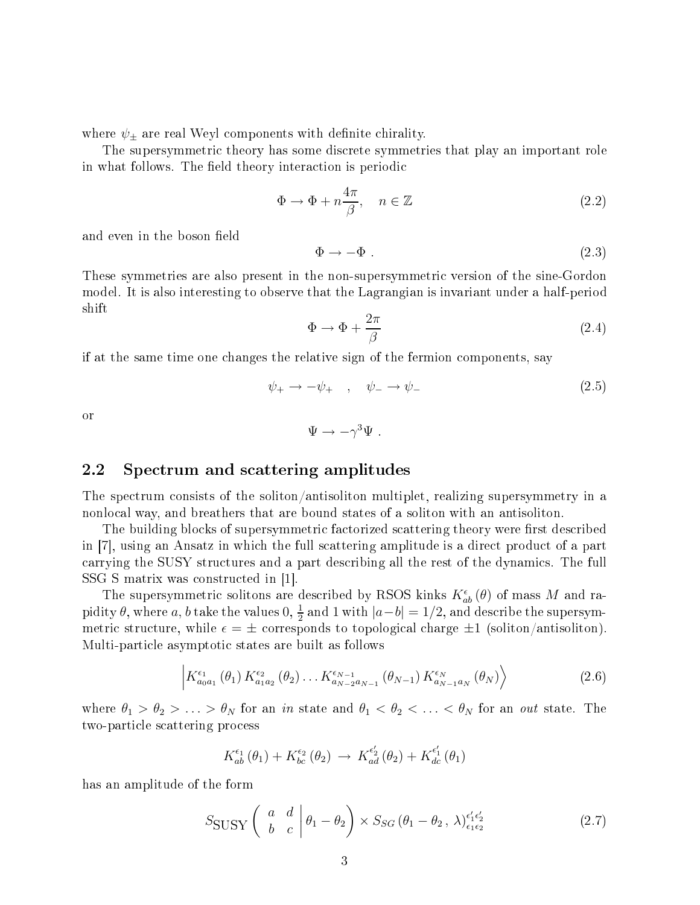where  $\psi_{\pm}$  are real Weyl components with definite chirality.

The supersymmetric theory has some discrete symmetries that play an important role in what follows. The field theory interaction is periodic

$$
\Phi \to \Phi + n\frac{4\pi}{\beta}, \quad n \in \mathbb{Z} \tag{2.2}
$$

and even in the boson field

$$
\Phi \to -\Phi \tag{2.3}
$$

These symmetries are also present in the non-supersymmetric version of the sine-Gordon model. It is also interesting to observe that the Lagrangian is invariant under a half-period shift

$$
\Phi \to \Phi + \frac{2\pi}{\beta} \tag{2.4}
$$

if at the same time one hanges the relative sign of the fermion omponents, say

$$
\psi_+ \to -\psi_+ \quad , \quad \psi_- \to \psi_- \tag{2.5}
$$

or

$$
\Psi \to -\gamma^3 \Psi \; .
$$

#### 2.2Spe
trum and s
attering amplitudes

The spe
trum onsists of the soliton/antisoliton multiplet, realizing supersymmetry in a nonlo
al way, and breathers that are bound states of a soliton with an antisoliton.

The building blocks of supersymmetric factorized scattering theory were first described in  $[7]$ , using an Ansatz in which the full scattering amplitude is a direct product of a part arrying the SUSY stru
tures and a part des
ribing all the rest of the dynami
s. The full SSG S matrix was constructed in [1].

The supersymmetric solitons are described by RSOS kinks  $K_{ab}^{\epsilon}(\theta)$  of mass M and rapidity  $\theta$ , where a, b take the values 0,  $\frac{1}{2}$  $\frac{1}{2}$  and 1 with  $|a-b|=1/2$ , and describe the supersymmetric structure, while  $\epsilon = \pm$  corresponds to topological charge  $\pm 1$  (soliton/antisoliton). Multi-particle asymptotic states are built as follows

$$
\left| K_{a_0 a_1}^{\epsilon_1}(\theta_1) K_{a_1 a_2}^{\epsilon_2}(\theta_2) \dots K_{a_{N-2} a_{N-1}}^{\epsilon_{N-1}}(\theta_{N-1}) K_{a_{N-1} a_N}^{\epsilon_N}(\theta_N) \right\rangle \tag{2.6}
$$

where  $\theta_1 > \theta_2 > \ldots > \theta_N$  for an *in* state and  $\theta_1 < \theta_2 < \ldots < \theta_N$  for an *out* state. The two-parti
le s
attering pro
ess

$$
K^{\epsilon_1}_{ab}(\theta_1) + K^{\epsilon_2}_{bc}(\theta_2) \rightarrow K^{\epsilon'_2}_{ad}(\theta_2) + K^{\epsilon'_1}_{dc}(\theta_1)
$$

has an amplitude of the form

$$
S_{\text{SUSY}}\left(\begin{array}{cc} a & d \\ b & c \end{array}\middle|\theta_1 - \theta_2\right) \times S_{SG} \left(\theta_1 - \theta_2, \lambda\right)_{\epsilon_1 \epsilon_2}^{\epsilon_1' \epsilon_2'}\tag{2.7}
$$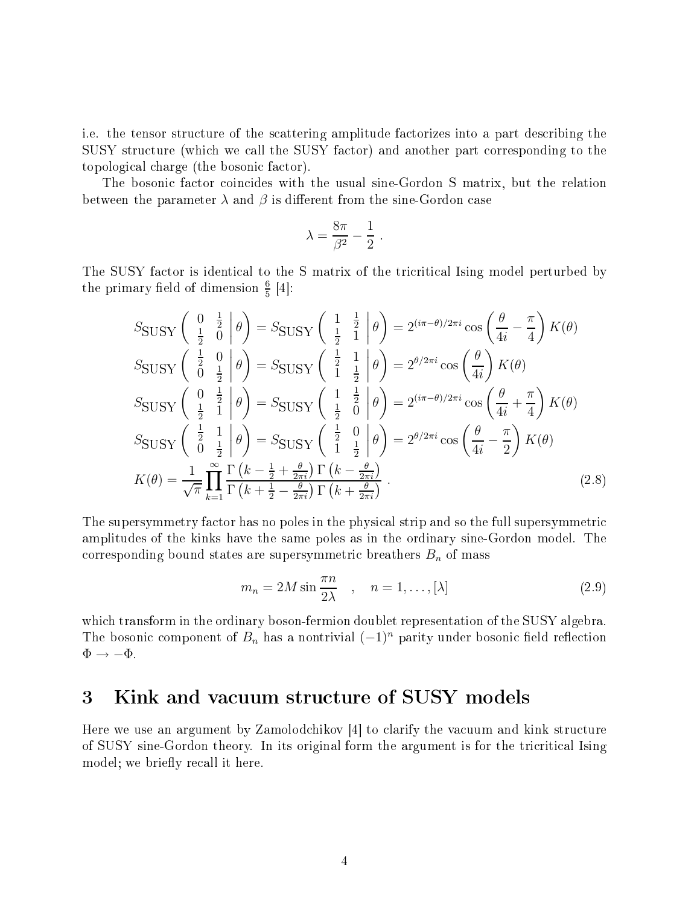i.e. the tensor stru
ture of the s
attering amplitude fa
torizes into <sup>a</sup> part des
ribing the SUSY stru
ture (whi
h we all the SUSY fa
tor) and another part orresponding to the topological alternative contracts of the bosonic contracts of the bosonic contracts of the bosonic contracts of

The bosoni fa
tor oin
ides with the usual sine-Gordon <sup>S</sup> matrix, but the relation between the parameter  $\lambda$  and  $\beta$  is different from the sine-Gordon case

$$
\lambda = \frac{8\pi}{\beta^2} - \frac{1}{2} \; .
$$

The SUSY fa
tor is identi
al to the <sup>S</sup> matrix of the tri
riti
al Ising model perturbed by the primary field of dimension  $\frac{6}{5}$  [4]:

$$
S_{\text{SUSY}}\begin{pmatrix} 0 & \frac{1}{2} \\ \frac{1}{2} & 0 \end{pmatrix} \theta = S_{\text{SUSY}}\begin{pmatrix} 1 & \frac{1}{2} \\ \frac{1}{2} & 1 \end{pmatrix} \theta = 2^{(i\pi - \theta)/2\pi i} \cos\left(\frac{\theta}{4i} - \frac{\pi}{4}\right) K(\theta)
$$
  
\n
$$
S_{\text{SUSY}}\begin{pmatrix} \frac{1}{2} & 0 \\ 0 & \frac{1}{2} \end{pmatrix} \theta = S_{\text{SUSY}}\begin{pmatrix} \frac{1}{2} & 1 \\ 1 & \frac{1}{2} \end{pmatrix} \theta = 2^{\theta/2\pi i} \cos\left(\frac{\theta}{4i}\right) K(\theta)
$$
  
\n
$$
S_{\text{SUSY}}\begin{pmatrix} 0 & \frac{1}{2} \\ \frac{1}{2} & 1 \end{pmatrix} \theta = S_{\text{SUSY}}\begin{pmatrix} 1 & \frac{1}{2} \\ \frac{1}{2} & 0 \end{pmatrix} \theta = 2^{(i\pi - \theta)/2\pi i} \cos\left(\frac{\theta}{4i} + \frac{\pi}{4}\right) K(\theta)
$$
  
\n
$$
S_{\text{SUSY}}\begin{pmatrix} \frac{1}{2} & 1 \\ 0 & \frac{1}{2} \end{pmatrix} \theta = S_{\text{SUSY}}\begin{pmatrix} \frac{1}{2} & 0 \\ 1 & \frac{1}{2} \end{pmatrix} \theta = 2^{\theta/2\pi i} \cos\left(\frac{\theta}{4i} - \frac{\pi}{2}\right) K(\theta)
$$
  
\n
$$
K(\theta) = \frac{1}{\sqrt{\pi}} \prod_{k=1}^{\infty} \frac{\Gamma(k - \frac{1}{2} + \frac{\theta}{2\pi i}) \Gamma(k - \frac{\theta}{2\pi i})}{\Gamma(k + \frac{\theta}{2} - \frac{\theta}{2\pi i}) \Gamma(k + \frac{\theta}{2\pi i})}.
$$
  
\n(2.8)

to supersymmetry factors for the strip and so the full supersymmetric in the full supersymmetries. amplitudes of the kinks have the same poles as in the ordinary sine-Gordon model. The corresponding bound states are supersymmetric breathers  $B_n$  of mass

$$
m_n = 2M \sin \frac{\pi n}{2\lambda} \quad , \quad n = 1, \dots, [\lambda]
$$
 (2.9)

whi
h transform in the ordinary boson-fermion doublet representation of the SUSY algebra. The bosonic component of  $B_n$  has a nontrivial  $(-1)^n$  parity under bosonic field reflection  $\Phi \rightarrow -\Phi$ .

#### Kink and vacuum structure of SUSY models 3

Here we use an argument by Zamolod
hikov [4℄ to larify the va
uum and kink stru
ture of SUSY sine-Gordon theory. In its original form the argument is for the tri
riti
al Ising model; we briey re
all it here.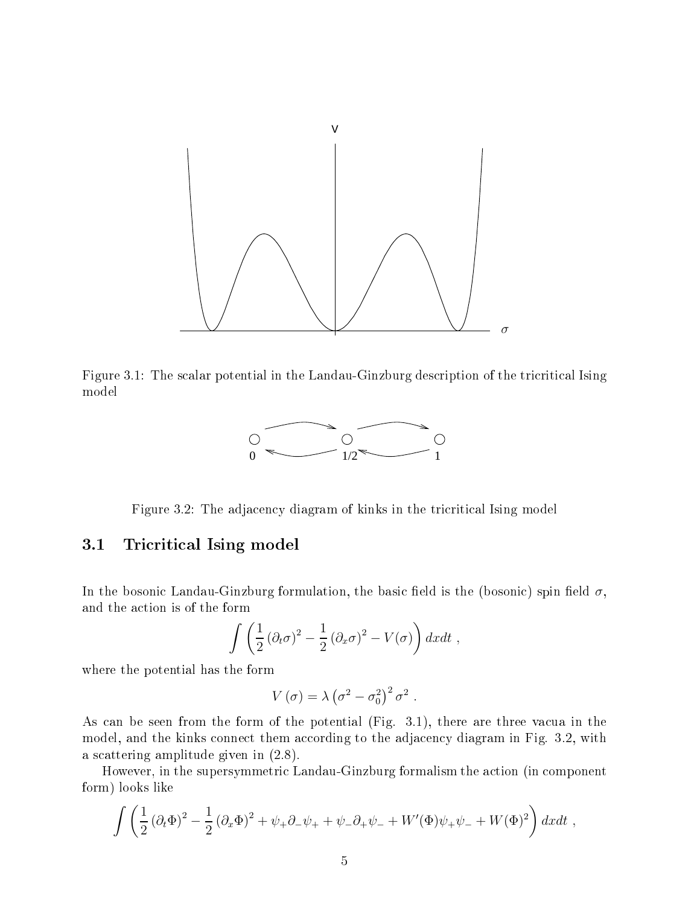

Figure 3.1: The scalar potential in the Landau-Ginzburg description of the tricritical Ising model



Figure 3.2: The adjacency diagram of kinks in the tricritical Ising model

#### 3.1Tricritical Ising model

In the bosonic Landau-Ginzburg formulation, the basic field is the (bosonic) spin field  $\sigma$ , and the a
tion is of the form

$$
\int \left(\frac{1}{2} \left(\partial_t \sigma\right)^2 - \frac{1}{2} \left(\partial_x \sigma\right)^2 - V(\sigma)\right) dx dt ,
$$

where the potential has the form

$$
V(\sigma) = \lambda (\sigma^2 - \sigma_0^2)^2 \sigma^2.
$$

As can be seen from the form of the potential (Fig. 3.1), there are three vacua in the model, and the kinks connect them according to the adjacency diagram in Fig. 3.2, with a s
attering amplitude given in (2.8).

However, in the supersymmetric Landau-Ginzburg formalism the action (in component form) looks like

$$
\int \left(\frac{1}{2} \left(\partial_t \Phi\right)^2 - \frac{1}{2} \left(\partial_x \Phi\right)^2 + \psi_+ \partial_- \psi_+ + \psi_- \partial_+ \psi_- + W'(\Phi) \psi_+ \psi_- + W(\Phi)^2\right) dxdt ,
$$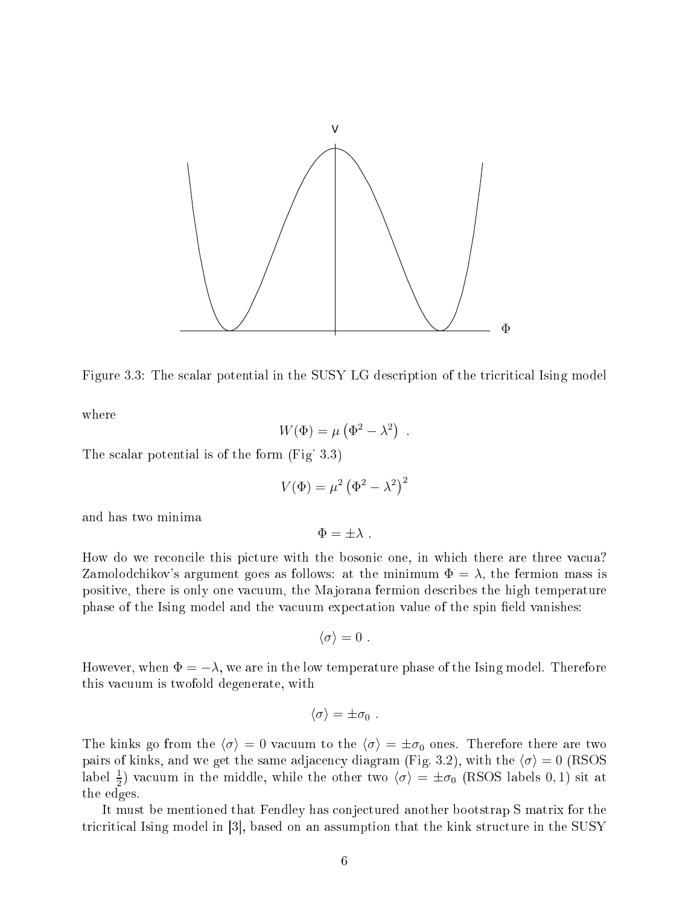

Figure 3.3: The s
alar potential in the SUSY LG des
ription of the tri
riti
al Ising model

 $\cdots$  where  $\cdots$ 

$$
W(\Phi) = \mu (\Phi^2 - \lambda^2)
$$

.

The s
alar potential is of the form (Fig 3.3)

$$
V(\Phi) = \mu^2 (\Phi^2 - \lambda^2)^2
$$

 $\Phi = \pm \lambda$ .

How do we re
on
ile this pi
ture with the bosoni one, in whi
h there are three va
ua? Zamolodchikov's argument goes as follows: at the minimum  $\Phi = \lambda$ , the fermion mass is positive, there is only one va
uum, the Ma jorana fermion des
ribes the high temperature phase of the Ising model and the va
uum expe
tation value of the spin eld vanishes:

$$
\langle \sigma \rangle = 0 \; .
$$

However, when  $\Phi = -\lambda$ , we are in the low temperature phase of the Ising model. Therefore this value of the state of the state of the state of the state of the state of the state of the state of the s

$$
\langle \sigma \rangle = \pm \sigma_0 \; .
$$

The kinks go from the  $\langle \sigma \rangle = 0$  vacuum to the  $\langle \sigma \rangle = \pm \sigma_0$  ones. Therefore there are two pairs of kinks, and we get the same adjacency diagram (Fig. 3.2), with the  $\langle \sigma \rangle = 0$  (RSOS) label  $\frac{1}{2}$ ) vacuum in the middle, while the other two  $\langle \sigma \rangle = \pm \sigma_0$  (RSOS labels 0, 1) sit at the edges. The edges of the edge state of the edge state of the edge state of the edge state of the edge state

to matrix to mentioned that Fending for the S matrix for the S matrix for the second second second triction in the structure in the sumption that the the structure in the structure in the SUSY of the SUSY of the SUSY of the SUSY of the SUSY of the SUSY of the SUSY of the SUSY of the SUSY of the SUSY of the SUSY of the S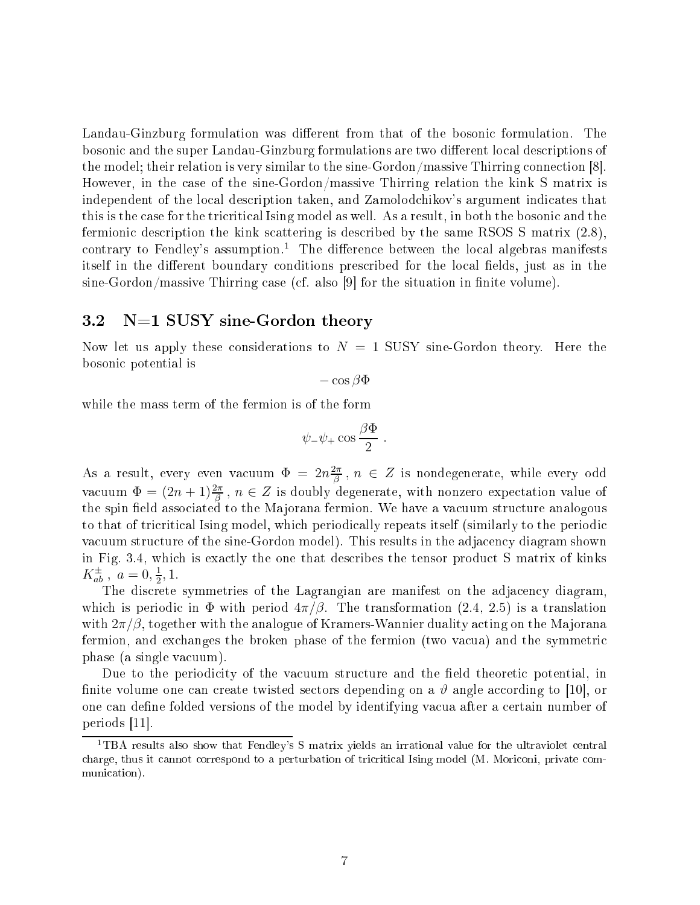Landau-Ginzburg formulation was different from that of the bosonic formulation. The bosonic and the super Landau-Ginzburg formulations are two different local descriptions of the model; their relation is very similar to the sine-Gordon/massive Thirring connection  $|8|$ . However, in the ase of the sine-Gordon/massive Thirring relation the kink S matrix is independent of the lo
al des
ription taken, and Zamolod
hikov's argument indi
ates that this is the case for the tricritical Ising model as well. As a result, in both the bosonic and the fermionic description the kink scattering is described by the same RSOS S matrix (2.8), contrary to Fendley's assumption.<sup>1</sup> The difference between the local algebras manifests itself in the different boundary conditions prescribed for the local fields, just as in the  $sine-Gordon/massive Thirring case (cf. also [9] for the situation in finite volume).$ 

# $3.2$  N=1 SUSY sine-Gordon theory

Now let us apply these considerations to  $N = 1$  SUSY sine-Gordon theory. Here the bosoni potential is

 $-\cos\beta\Phi$ 

while the mass term of the fermion is of the form

$$
\psi_-\psi_+\cos\frac{\beta\Phi}{2}.
$$

As a result, every even vacuum  $\Phi = 2n \frac{2\pi}{\beta}$  $\frac{2\pi}{\beta}$ ,  $n \in \mathbb{Z}$  is nondegenerate, while every odd vacuum  $\Phi = (2n+1)\frac{2\pi}{\beta}$ ,  $n \in \mathbb{Z}$  is doubly degenerate, with nonzero expectation value of the spin field associated to the Majorana fermion. We have a vacuum structure analogous to that of tricritical Ising model, which periodically repeats itself (similarly to the periodic vacuum structure of the sine-Gordon model). This results in the adjacency diagram shown in Fig. 3.4, whi
h is exa
tly the one that des
ribes the tensor produ
t S matrix of kinks  $K_{ab}^{\pm}$ ,  $a=0,\frac{1}{2}$  $\frac{1}{2}$ , 1.

The discrete symmetries of the Lagrangian are manifest on the adjacency diagram, which is periodic in  $\Phi$  with period  $4\pi/\beta$ . The transformation (2.4, 2.5) is a translation with  $2\pi/\beta$ , together with the analogue of Kramers-Wannier duality acting on the Majorana fermion, and exchanges the broken phase of the fermion (two vacua) and the symmetric phase (a single va
uum).

Due to the periodicity of the vacuum structure and the field theoretic potential, in finite volume one can create twisted sectors depending on a  $\vartheta$  angle according to [10], or one can define folded versions of the model by identifying vacua after a certain number of periods  $[11]$ .

<sup>1</sup> TBA results also show that Fendley's S matrix yields an irrational value for the ultraviolet entral charge, thus it cannot correspond to a perturbation of tricritical Ising model (M. Moriconi, private communi
ation).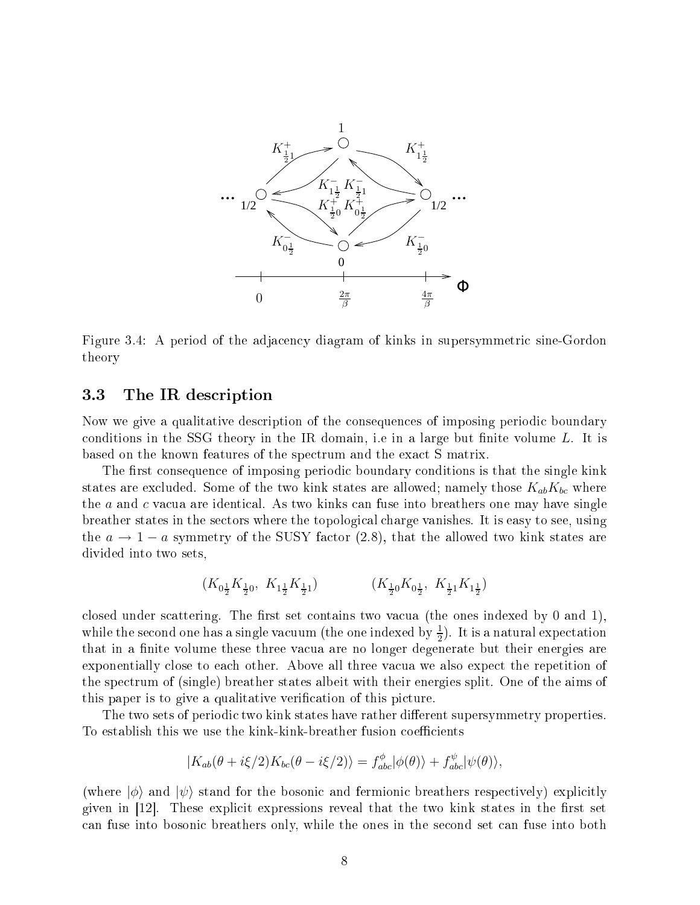

Figure 3.4: A period of the adjacency diagram of kinks in supersymmetric sine-Gordon theory

### 3.3 The IR des
ription

Now we give a qualitative des
ription of the onsequen
es of imposing periodi boundary conditions in the SSG theory in the IR domain, i.e in a large but finite volume  $L$ . It is based on the known features of the spe
trum and the exa
t S matrix.

The first consequence of imposing periodic boundary conditions is that the single kink states are excluded. Some of the two kink states are allowed; namely those  $K_{ab}K_{bc}$  where the  $a$  and  $c$  vacua are identical. As two kinks can fuse into breathers one may have single breather states in the se
tors where the topologi
al harge vanishes. It is easy to see, using the  $a \to 1-a$  symmetry of the SUSY factor (2.8), that the allowed two kink states are divided into two sets,

$$
(K_{0\frac{1}{2}}K_{\frac{1}{2}0},\ K_{1\frac{1}{2}}K_{\frac{1}{2}1})\qquad \qquad (K_{\frac{1}{2}0}K_{0\frac{1}{2}},\ K_{\frac{1}{2}1}K_{1\frac{1}{2}})
$$

closed under scattering. The first set contains two vacua (the ones indexed by 0 and 1), while the second one has a single vacuum (the one indexed by  $\frac{1}{2}$ ). It is a natural expectation that in a finite volume these three vacua are no longer degenerate but their energies are exponentially close to each other. Above all three vacua we also expect the repetition of the spe
trum of (single) breather states albeit with their energies split. One of the aims of this paper is to give a qualitative verification of this picture.

The two sets of periodic two kink states have rather different supersymmetry properties. To establish this we use the kink-kink-breather fusion coefficients

$$
|K_{ab}(\theta + i\xi/2)K_{bc}(\theta - i\xi/2)\rangle = f_{abc}^{\phi}|\phi(\theta)\rangle + f_{abc}^{\psi}|\psi(\theta)\rangle,
$$

(where  $|\phi\rangle$  and  $|\psi\rangle$  stand for the bosonic and fermionic breathers respectively) explicitly given in  $|12|$ . These explicit expressions reveal that the two kink states in the first set can fuse into bosonic breathers only, while the ones in the second set can fuse into both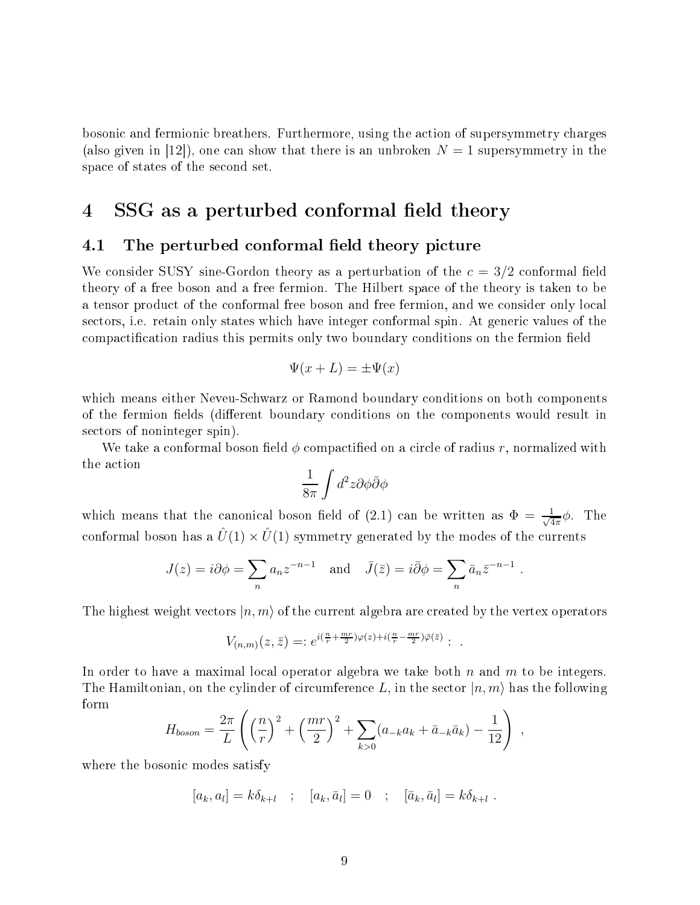bosonic and fermionic breathers. Furthermore, using the action of supersymmetry charges (also given in [12]), one can show that there is an unbroken  $N = 1$  supersymmetry in the spa
e of states of the se
ond set.

# 4 SSG as a perturbed conformal field theory

## 4.1 The perturbed conformal field theory picture

We consider SUSY sine-Gordon theory as a perturbation of the  $c = 3/2$  conformal field theory of a free boson and a free fermion. The Hilbert spa
e of the theory is taken to be a tensor product of the conformal free boson and free fermion, and we consider only local sectors, *i.e.* retain only states which have integer conformal spin. At generic values of the compactification radius this permits only two boundary conditions on the fermion field

$$
\Psi(x+L) = \pm \Psi(x)
$$

which means either Neveu-Schwarz or Ramond boundary conditions on both components of the fermion fields (different boundary conditions on the components would result in sectors of noninteger spin).

We take a conformal boson field  $\phi$  compactified on a circle of radius r, normalized with the action

$$
\frac{1}{8\pi}\int d^2z \partial \phi \bar{\partial} \phi
$$

which means that the canonical boson field of (2.1) can be written as  $\Phi = \frac{1}{\sqrt{4}}$  $rac{1}{4\pi}\phi$ . The conformal boson has a  $\hat{U}(1) \times \hat{U}(1)$  symmetry generated by the modes of the currents

$$
J(z) = i\partial \phi = \sum_{n} a_n z^{-n-1} \text{ and } \bar{J}(\bar{z}) = i\bar{\partial} \phi = \sum_{n} \bar{a}_n \bar{z}^{-n-1} .
$$

The highest weight vectors  $|n,m\rangle$  of the current algebra are created by the vertex operators

$$
V_{(n,m)}(z,\bar{z}) =: e^{i(\frac{n}{r} + \frac{mr}{2})\varphi(z) + i(\frac{n}{r} - \frac{mr}{2})\bar{\varphi}(\bar{z})}.
$$

In order to have a maximal local operator algebra we take both  $n$  and  $m$  to be integers. The Hamiltonian, on the cylinder of circumference L, in the sector  $|n,m\rangle$  has the following form

$$
H_{boson} = \frac{2\pi}{L} \left( \left(\frac{n}{r}\right)^2 + \left(\frac{mr}{2}\right)^2 + \sum_{k>0} (a_{-k}a_k + \bar{a}_{-k}\bar{a}_k) - \frac{1}{12} \right) ,
$$

where the bosonic modes satisfy

$$
[a_k, a_l] = k\delta_{k+l} \quad ; \quad [a_k, \bar{a}_l] = 0 \quad ; \quad [\bar{a}_k, \bar{a}_l] = k\delta_{k+l} .
$$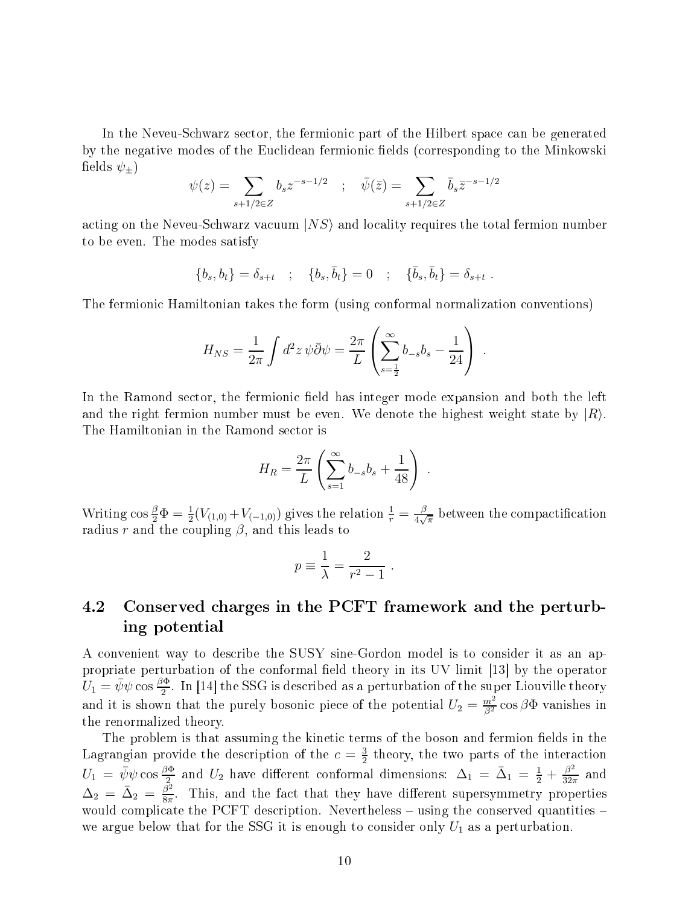In the Neveu-Schwarz sector, the fermionic part of the Hilbert space can be generated by the negative modes of the Euclidean fermionic fields (corresponding to the Minkowski fields  $\psi_{\pm}$ )

$$
\psi(z) = \sum_{s+1/2 \in \mathbb{Z}} b_s z^{-s-1/2} \quad ; \quad \bar{\psi}(\bar{z}) = \sum_{s+1/2 \in \mathbb{Z}} \bar{b}_s \bar{z}^{-s-1/2}
$$

acting on the Neveu-Schwarz vacuum  $|NS\rangle$  and locality requires the total fermion number to be even. The modes satisfy

$$
\{b_s, b_t\} = \delta_{s+t} \quad ; \quad \{b_s, \bar{b}_t\} = 0 \quad ; \quad \{\bar{b}_s, \bar{b}_t\} = \delta_{s+t} \; .
$$

The fermionic Hamiltonian takes the form (using conformal normalization conventions)

$$
H_{NS} = \frac{1}{2\pi} \int d^2 z \, \psi \bar{\partial} \psi = \frac{2\pi}{L} \left( \sum_{s=\frac{1}{2}}^{\infty} b_{-s} b_s - \frac{1}{24} \right) \; .
$$

In the Ramond sector, the fermionic field has integer mode expansion and both the left and the right fermion number must be even. We denote the highest weight state by  $|R\rangle$ . The Hamiltonian in the Ramond sector is

$$
H_R = \frac{2\pi}{L} \left( \sum_{s=1}^{\infty} b_{-s} b_s + \frac{1}{48} \right) .
$$

Writing  $\cos \frac{\beta}{2} \Phi = \frac{1}{2}(V_{(1,0)} + V_{(-1,0)})$  gives the relation  $\frac{1}{r} = \frac{\beta}{4\sqrt{2}}$ writing  $\cos \frac{\pi}{2} \Psi = \frac{1}{2}(V_{(1,0)} + V_{(-1,0)})$  gives the relation  $\frac{\pi}{r} = \frac{\pi}{4\sqrt{\pi}}$  between the compactification radius r and the coupling  $\beta$ , and this leads to

$$
p \equiv \frac{1}{\lambda} = \frac{2}{r^2 - 1} \; .
$$

#### 4.2 Conserved harges in the PCFT framework and the perturbing potential

A convenient way to describe the SUSY sine-Gordon model is to consider it as an appropriate perturbation of the conformal field theory in its UV limit [13] by the operator  $U_1=\bar\psi\psi\cos\frac{\beta\Phi}{2}.$  In [14] the SSG is described as a perturbation of the super Liouville theory and it is shown that the purely bosonic piece of the potential  $U_2 = \frac{m^2}{\beta^2} \cos \beta \Phi$  vanishes in the renormalized theory.

The problem is that assuming the kinetic terms of the boson and fermion fields in the Lagrangian provide the description of the  $c = \frac{3}{2}$ Let  $U_1 = \bar{\psi}\psi\cos\frac{\beta\Phi}{2}$  and  $U_2$  have different conformal dimensions:  $\Delta_1 = \bar{\Delta}_1 = \frac{1}{2} + \frac{\beta^2}{32\pi}$  and  $\Delta_2 = \bar{\Delta}_2 = \frac{\beta^2}{8\pi}$ . This, and the fact that they have different supersymmetry properties  $8\pi$ . This, and the fact that they have different supersymmetry properties would ompli
ate the PCFT des
ription. Nevertheless using the onserved quantities we argue below that for the SSG it is enough to consider only  $U_1$  as a perturbation.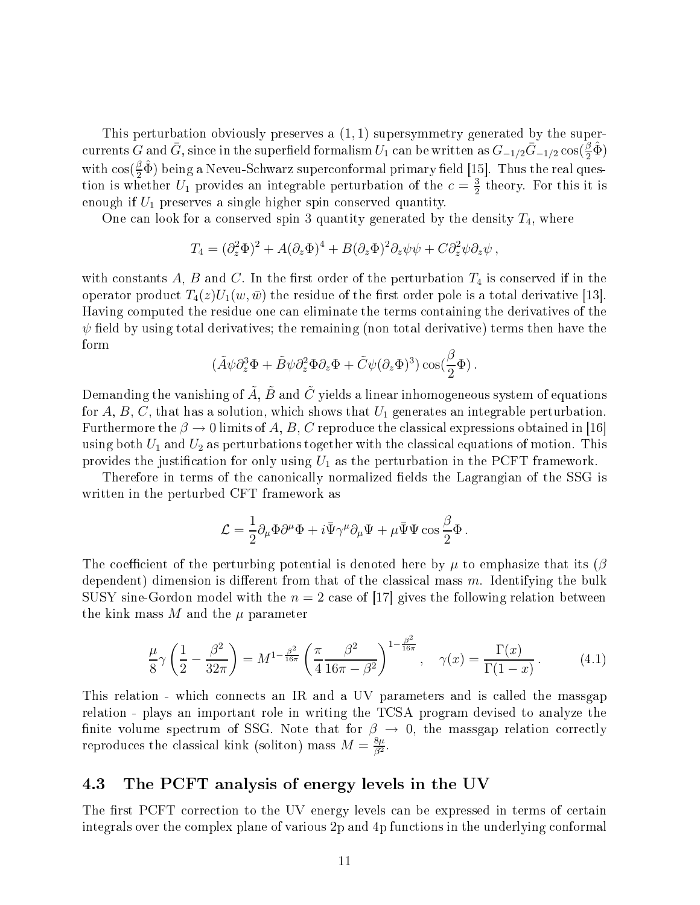This perturbation obviously preserves a (1, 1) supersymmetry generated by the super-  $\text{currents } G \text{ and } \bar{G}, \text{ since in the superfield formalism } U_1 \text{ can be written as } G_{-1/2} \bar{G}_{-1/2} \cos(\frac{\beta}{2} \hat{\Phi})$ with  $\cos(\frac{\beta}{2}\hat{\Phi})$  being a Neveu-Schwarz superconformal primary field [15]. Thus the real question is whether  $U_1$  provides an integrable perturbation of the  $c=\frac{3}{2}$  $2$  theory. For this it is enough if  $U_1$  preserves a single higher spin conserved quantity.

One can look for a conserved spin 3 quantity generated by the density  $T_4$ , where

$$
T_4 = (\partial_z^2 \Phi)^2 + A(\partial_z \Phi)^4 + B(\partial_z \Phi)^2 \partial_z \psi \psi + C \partial_z^2 \psi \partial_z \psi,
$$

with constants A, B and C. In the first order of the perturbation  $T_4$  is conserved if in the operator product  $T_4(z)U_1(w,\bar{w})$  the residue of the first order pole is a total derivative [13]. Having omputed the residue one an eliminate the terms ontaining the derivatives of the  $\psi$  field by using total derivatives; the remaining (non total derivative) terms then have the form

$$
(\tilde{A}\psi\partial_z^3\Phi + \tilde{B}\psi\partial_z^2\Phi\partial_z\Phi + \tilde{C}\psi(\partial_z\Phi)^3)\cos(\frac{\beta}{2}\Phi).
$$

Demanding the vanishing of  $\tilde{A}$ ,  $\tilde{B}$  and  $\tilde{C}$  yields a linear inhomogeneous system of equations for  $A, B, C$ , that has a solution, which shows that  $U_1$  generates an integrable perturbation. Furthermore the  $\beta \rightarrow 0$  limits of A, B, C reproduce the classical expressions obtained in [16] using both  $U_1$  and  $U_2$  as perturbations together with the classical equations of motion. This provides the justification for only using  $U_1$  as the perturbation in the PCFT framework.

Therefore in terms of the canonically normalized fields the Lagrangian of the SSG is written in the perturbed CFT framework as

$$
\mathcal{L} = \frac{1}{2} \partial_{\mu} \Phi \partial^{\mu} \Phi + i \bar{\Psi} \gamma^{\mu} \partial_{\mu} \Psi + \mu \bar{\Psi} \Psi \cos \frac{\beta}{2} \Phi.
$$

The coefficient of the perturbing potential is denoted here by  $\mu$  to emphasize that its ( $\beta$ dependent) dimension is different from that of the classical mass  $m$ . Identifying the bulk SUSY sine-Gordon model with the  $n = 2$  case of [17] gives the following relation between the kink mass M and the  $\mu$  parameter

$$
\frac{\mu}{8} \gamma \left( \frac{1}{2} - \frac{\beta^2}{32\pi} \right) = M^{1 - \frac{\beta^2}{16\pi}} \left( \frac{\pi}{4} \frac{\beta^2}{16\pi - \beta^2} \right)^{1 - \frac{\beta^2}{16\pi}}, \quad \gamma(x) = \frac{\Gamma(x)}{\Gamma(1 - x)}.
$$
 (4.1)

This relation - which connects an IR and a UV parameters and is called the massgap relation - plays an important role in writing the TCSA program devised to analyze the finite volume spectrum of SSG. Note that for  $\beta \to 0$ , the massgap relation correctly reproduces the classical kink (soliton) mass  $M = \frac{8\mu}{\beta^2}$ .

#### 4.3The PCFT analysis of energy levels in the UV

The first PCFT correction to the UV energy levels can be expressed in terms of certain integrals over the omplex plane of various 2p and 4p fun
tions in the underlying onformal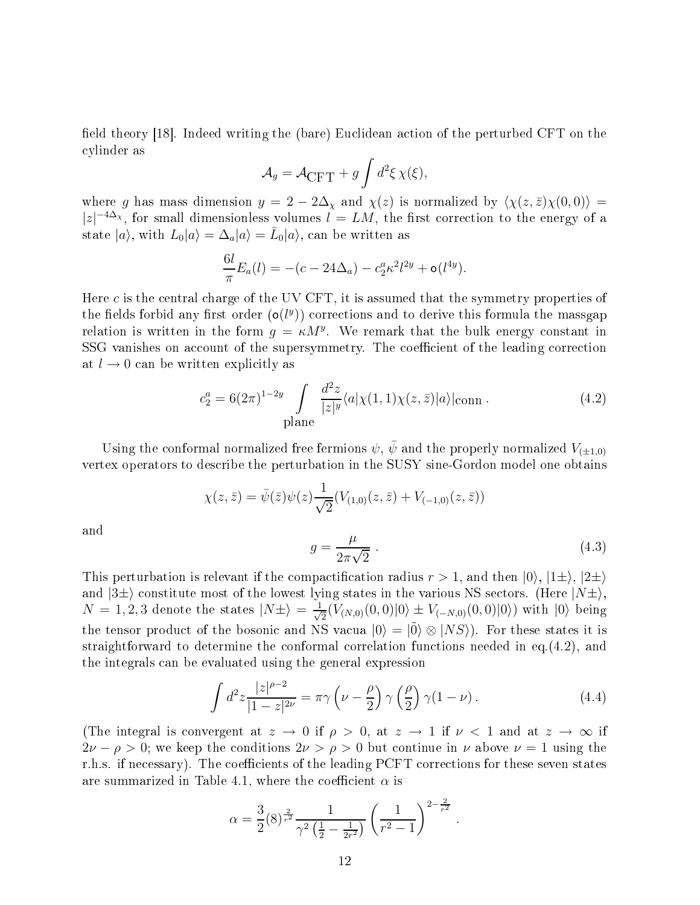eld theory [18℄. Indeed writing the (bare) Eu
lidean a
tion of the perturbed CFT on the ylinder as

$$
A_g = A_{\text{CFT}} + g \int d^2 \xi \, \chi(\xi),
$$

where g has mass dimension  $y = 2 - 2\Delta_{\chi}$  and  $\chi(z)$  is normalized by  $\langle \chi(z, \bar{z}) \chi(0, 0) \rangle =$  $|z|^{-4\Delta_{\chi}}$ , for small dimensionless volumes  $l = LM$ , the first correction to the energy of a state  $|a\rangle$ , with  $L_0|a\rangle = \Delta_a|a\rangle = \bar{L}_0|a\rangle$ , can be written as

$$
\frac{6l}{\pi}E_a(l) = -(c - 24\Delta_a) - c_2^a \kappa^2 l^{2y} + o(l^{4y}).
$$

Here  $c$  is the central charge of the UV CFT, it is assumed that the symmetry properties of the fields forbid any first order  $(o(l^y))$  corrections and to derive this formula the massgap relation is written in the form  $g = \kappa M^y$ . We remark that the bulk energy constant in SSG vanishes on a

ount of the supersymmetry. The oe
ient of the leading orre
tion at  $l \to 0$  can be written explicitly as

$$
c_2^a = 6(2\pi)^{1-2y} \int\limits_{\text{plane}} \frac{d^2z}{|z|^y} \langle a|\chi(1,1)\chi(z,\bar{z})|a\rangle|\text{conn}.
$$
 (4.2)

Using the conformal normalized free fermions  $\psi$ ,  $\bar{\psi}$  and the properly normalized  $V_{(\pm 1,0)}$ vertex operators to des
ribe the perturbation in the SUSY sine-Gordon model one obtains

$$
\chi(z,\bar{z}) = \bar{\psi}(\bar{z})\psi(z)\frac{1}{\sqrt{2}}(V_{(1,0)}(z,\bar{z}) + V_{(-1,0)}(z,\bar{z}))
$$

and

$$
g = \frac{\mu}{2\pi\sqrt{2}} \tag{4.3}
$$

This perturbation is relevant if the compactification radius  $r > 1$ , and then  $|0\rangle, |1\pm\rangle, |2\pm\rangle$ and  $|3\pm\rangle$  constitute most of the lowest lying states in the various NS sectors. (Here  $|N\pm\rangle$ ,  $N=1,2,3$  denote the states  $|N\pm\rangle=\frac{1}{\sqrt{2}}$  $\frac{1}{2}(V_{(N,0)}(0,0)|0\rangle \pm V_{(-N,0)}(0,0)|0\rangle)$  with  $|0\rangle$  being the tensor product of the bosonic and NS vacua  $|0\rangle = |\tilde{0}\rangle \otimes |NS\rangle$ . For these states it is  $\mathbf{A}$ the integrals an be evaluated using the general expression

$$
\int d^2 z \frac{|z|^{\rho-2}}{|1-z|^{2\nu}} = \pi \gamma \left(\nu - \frac{\rho}{2}\right) \gamma \left(\frac{\rho}{2}\right) \gamma (1-\nu). \tag{4.4}
$$

(The integral is convergent at  $z \to 0$  if  $\rho > 0$ , at  $z \to 1$  if  $\nu < 1$  and at  $z \to \infty$  if  $2\nu - \rho > 0$ ; we keep the conditions  $2\nu > \rho > 0$  but continue in  $\nu$  above  $\nu = 1$  using the r.h.s. if ne
essary). The oe
ients of the leading PCFT orre
tions for these seven states are summarized in Table 4.1, where the coefficient  $\alpha$  is

$$
\alpha = \frac{3}{2}(8)^{\frac{2}{r^2}} \frac{1}{\gamma^2 \left(\frac{1}{2} - \frac{1}{2r^2}\right)} \left(\frac{1}{r^2 - 1}\right)^{2 - \frac{2}{r^2}}.
$$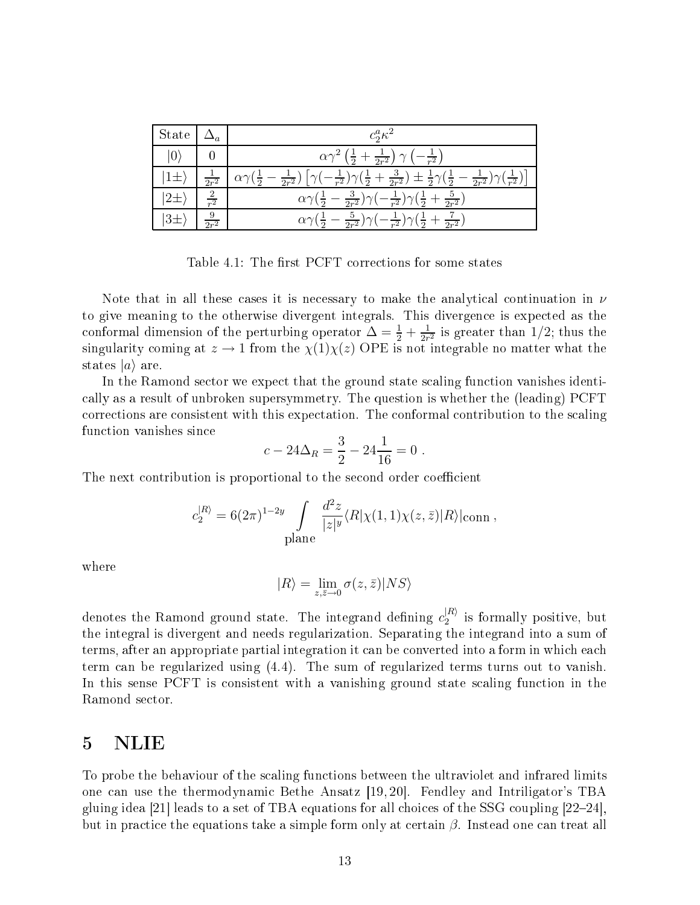| State '        |                  | $c_2^a \kappa^2$                                                                                                                                                                     |
|----------------|------------------|--------------------------------------------------------------------------------------------------------------------------------------------------------------------------------------|
|                |                  | $\alpha\gamma^2\left(\frac{1}{2}+\frac{1}{2r^2}\right)\gamma\left(-\frac{1}{r^2}\right)$                                                                                             |
| $ 1\pm\rangle$ | $\frac{1}{2r^2}$ | $\alpha\gamma(\frac{1}{2}-\frac{1}{2r^2})\left[\gamma(-\frac{1}{r^2})\gamma(\frac{1}{2}+\frac{3}{2r^2})\pm\frac{1}{2}\gamma(\frac{1}{2}-\frac{1}{2r^2})\gamma(\frac{1}{r^2})\right]$ |
| $ 2\pm\rangle$ | $\frac{2}{r^2}$  | $\alpha\gamma(\frac{1}{2}-\frac{3}{2r^2})\gamma(-\frac{1}{r^2})\gamma(\frac{1}{2}+\frac{5}{2r^2})$                                                                                   |
| $ 3\pm$        | $\frac{9}{2r^2}$ | $\alpha\gamma(\frac{1}{2}-\frac{5}{2r^2})\gamma(-\frac{1}{r^2})\gamma(\frac{1}{2}+\frac{7}{2r^2})$                                                                                   |

Table 4.1: The first PCFT corrections for some states

Note that in all these cases it is necessary to make the analytical continuation in  $\nu$ to give meaning to the otherwise divergent integrals. This divergen
e is expe
ted as the conformal dimension of the perturbing operator  $\Delta = \frac{1}{2} + \frac{1}{2r}$  $\frac{1}{2r^2}$  is greater than 1/2; thus the singularity coming at  $z \to 1$  from the  $\chi(1)\chi(z)$  OPE is not integrable no matter what the states  $|a\rangle$  are.

In the Ramond sector we expect that the ground state scaling function vanishes identially as a result of unbroken supersymmetry. The question is whether the (leading) PCFT corrections are consistent with this expectation. The conformal contribution to the scaling function vanishes since

$$
c - 24\Delta_R = \frac{3}{2} - 24\frac{1}{16} = 0.
$$

The next contribution is proportional to the second order coefficient

$$
c_2^{|R\rangle} = 6(2\pi)^{1-2y} \int\limits_{\text{plane}} \frac{d^2z}{|z|^y} \langle R|\chi(1,1)\chi(z,\bar{z})|R\rangle|_{\text{conn}} ,
$$

where

$$
|R\rangle = \lim_{z,\bar{z}\to 0} \sigma(z,\bar{z})|NS\rangle
$$

denotes the Ramond ground state. The integrand defining  $c_2^{|R\rangle}$  is formally positive, but the integral is divergent and needs regularization. Separating the integrand into a sum of terms, after an appropriate partial integration it can be converted into a form in which each term an be regularized using (4.4). The sum of regularized terms turns out to vanish. In this sense PCFT is consistent with a vanishing ground state scaling function in the Ramond se
tor.

# <sup>5</sup> NLIE

To probe the behaviour of the scaling functions between the ultraviolet and infrared limits one can use the thermodynamic Bethe Ansatz [19, 20]. Fendley and Intriligator's TBA gluing idea [21] leads to a set of TBA equations for all choices of the SSG coupling  $|22-24|$ , but in practice the equations take a simple form only at certain  $β$ . Instead one can treat all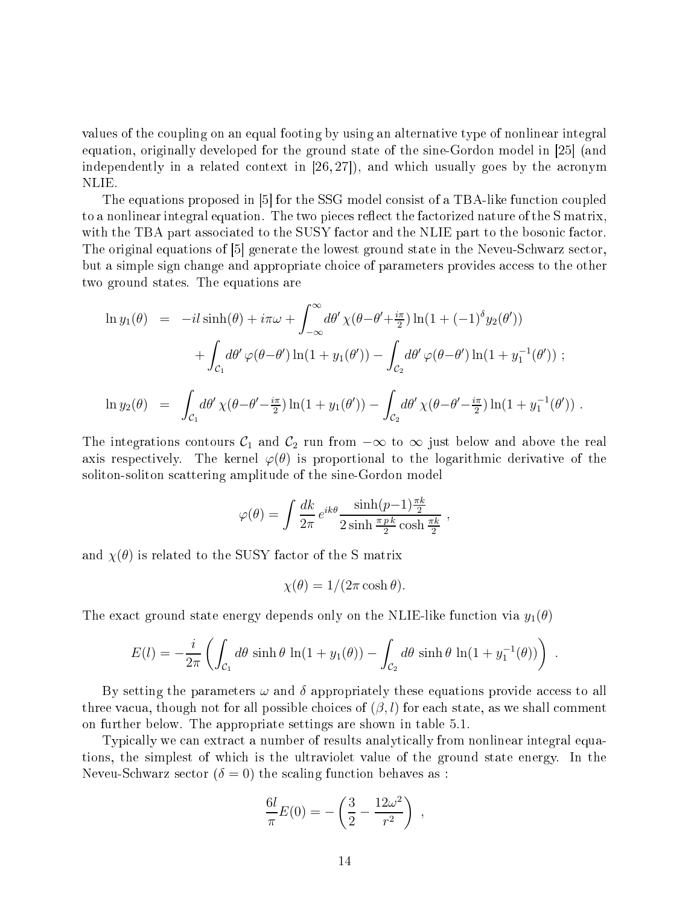values of the oupling on an equal footing by using an alternative type of nonlinear integral equation, originally developed for the ground state of the sine-Gordon model in [25] (and independently in a related context in  $(26, 27)$ , and which usually goes by the acronym NLIE.

The equations proposed in  $[5]$  for the SSG model consist of a TBA-like function coupled to a nonlinear integral equation. The two pieces reflect the factorized nature of the S matrix, with the TBA part associated to the SUSY factor and the NLIE part to the bosonic factor. The original equations of [5] generate the lowest ground state in the Neveu-Schwarz sector, but a simple sign hange and appropriate hoi
e of parameters provides a

ess to the other two ground states. The equations are

$$
\ln y_1(\theta) = -il \sinh(\theta) + i\pi\omega + \int_{-\infty}^{\infty} d\theta' \chi(\theta - \theta' + \frac{i\pi}{2}) \ln(1 + (-1)^{\delta} y_2(\theta')) \n+ \int_{C_1} d\theta' \varphi(\theta - \theta') \ln(1 + y_1(\theta')) - \int_{C_2} d\theta' \varphi(\theta - \theta') \ln(1 + y_1^{-1}(\theta')) ;
$$
\n
$$
\ln y_2(\theta) = \int_{C_1} d\theta' \chi(\theta - \theta' - \frac{i\pi}{2}) \ln(1 + y_1(\theta')) - \int_{C_2} d\theta' \chi(\theta - \theta' - \frac{i\pi}{2}) \ln(1 + y_1^{-1}(\theta')) .
$$

The integrations contours  $C_1$  and  $C_2$  run from  $-\infty$  to  $\infty$  just below and above the real axis respectively. The kernel  $\varphi(\theta)$  is proportional to the logarithmic derivative of the soliton-soliton s
attering amplitude of the sine-Gordon model

$$
\varphi(\theta) = \int \frac{dk}{2\pi} e^{ik\theta} \frac{\sinh(p-1)\frac{\pi k}{2}}{2\sinh\frac{\pi p k}{2}\cosh\frac{\pi k}{2}} ,
$$

and  $\chi(\theta)$  is related to the SUSY factor of the S matrix

$$
\chi(\theta) = 1/(2\pi \cosh \theta).
$$

The exact ground state energy depends only on the NLIE-like function via  $y_1(\theta)$ 

$$
E(l) = -\frac{i}{2\pi} \left( \int_{\mathcal{C}_1} d\theta \sinh \theta \ln(1 + y_1(\theta)) - \int_{\mathcal{C}_2} d\theta \sinh \theta \ln(1 + y_1^{-1}(\theta)) \right)
$$

.

By setting the parameters  $\omega$  and  $\delta$  appropriately these equations provide access to all three vacua, though not for all possible choices of  $(\beta, l)$  for each state, as we shall comment on further below. The appropriate settings are shown in table 5.1.

Typi
ally we an extra
t a number of results analyti
ally from nonlinear integral equations, the simplest of whi
h is the ultraviolet value of the ground state energy. In the Neveu-Schwarz sector  $(\delta = 0)$  the scaling function behaves as:

$$
\frac{6l}{\pi}E(0) = -\left(\frac{3}{2} - \frac{12\omega^2}{r^2}\right) ,
$$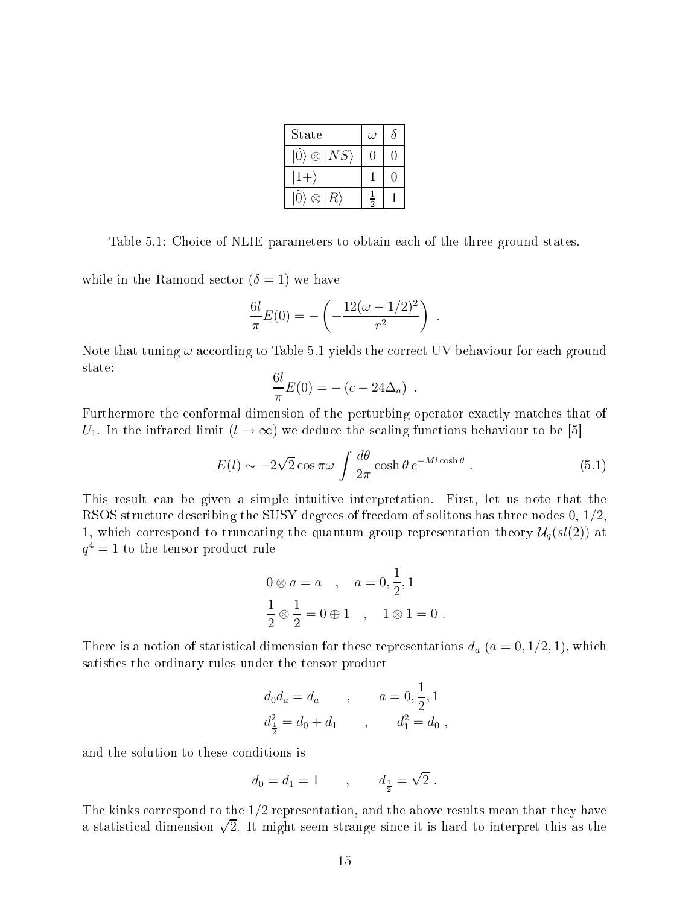| <b>State</b>                     | $\omega$ |   |
|----------------------------------|----------|---|
| $ 0\rangle \otimes  NS\rangle$   |          | U |
| $ 1+\rangle$                     |          | U |
| $ 0\rangle$<br>$\otimes \ket{R}$ |          |   |

Table 5.1: Choi
e of NLIE parameters to obtain ea
h of the three ground states.

while in the Ramond sector  $(\delta = 1)$  we have

$$
\frac{6l}{\pi}E(0) = -\left(-\frac{12(\omega - 1/2)^2}{r^2}\right).
$$

Note that tuning  $\omega$  according to Table 5.1 yields the correct UV behaviour for each ground state:

$$
\frac{6l}{\pi}E(0) = -(c - 24\Delta_a) .
$$

Furthermore the onformal dimension of the perturbing operator exa
tly mat
hes that of U<sub>1</sub>. In the infrared limit  $(l \to \infty)$  we deduce the scaling functions behaviour to be [5]

$$
E(l) \sim -2\sqrt{2}\cos\pi\omega \int \frac{d\theta}{2\pi} \cosh\theta \, e^{-Ml\cosh\theta} \,. \tag{5.1}
$$

This result an be given <sup>a</sup> simple intuitive interpretation. First, let us note that the  $\rm{RSOS}$  structure describing the SUSY degrees of freedom of solitons has three nodes  $0,$   $1/2,$ 1, which correspond to truncating the quantum group representation theory  $\mathcal{U}_q(sl(2))$  at  $q^4=1$  to the tensor product rule

$$
0 \otimes a = a
$$
,  $a = 0, \frac{1}{2}, 1$   
 $\frac{1}{2} \otimes \frac{1}{2} = 0 \oplus 1$ ,  $1 \otimes 1 = 0$ .

There is a notion of statistical dimension for these representations  $d_a$   $(a = 0, 1/2, 1)$ , which satises the ordinary rules under the tensor produ
t

$$
d_0 d_a = d_a
$$
,  $a = 0, \frac{1}{2}, 1$   
 $d_{\frac{1}{2}}^2 = d_0 + d_1$ ,  $d_1^2 = d_0$ ,

$$
d_0 = d_1 = 1 \qquad , \qquad d_{\frac{1}{2}} = \sqrt{2} \ .
$$

The kinks correspond to the  $1/2$  representation, and the above results mean that they have a statistical dimension  $\sqrt{2}$ . It might seem strange since it is hard to interpret this as the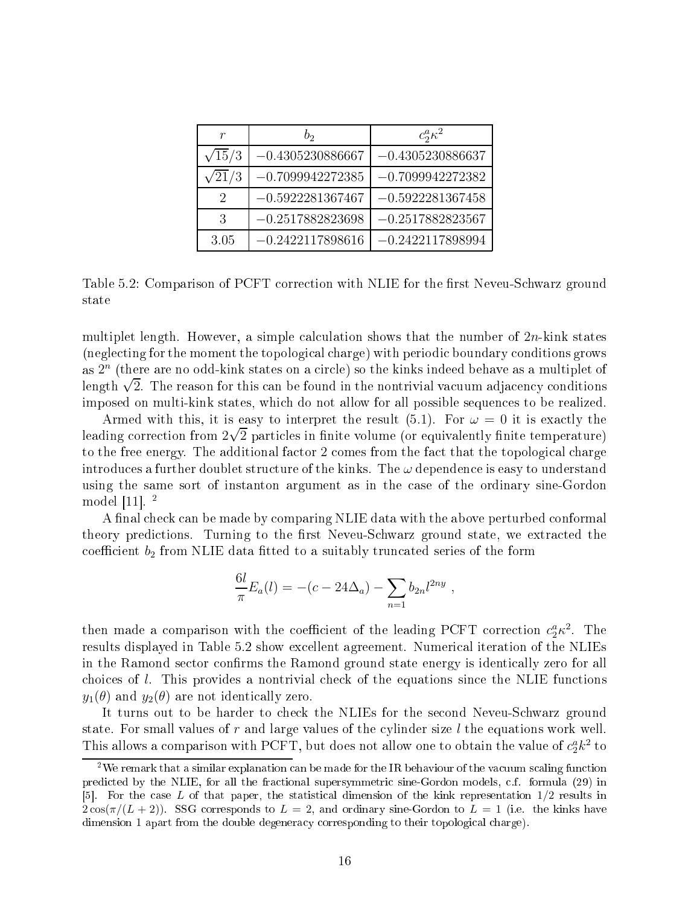| r             | b,                 | $c_2^a \kappa^2$   |
|---------------|--------------------|--------------------|
| $\sqrt{15/3}$ | $-0.4305230886667$ | $-0.4305230886637$ |
| $\sqrt{21/3}$ | $-0.7099942272385$ | $-0.7099942272382$ |
| $\mathcal{D}$ | $-0.5922281367467$ | $-0.5922281367458$ |
| 3             | $-0.2517882823698$ | $-0.2517882823567$ |
| 3.05          | $-0.2422117898616$ | $-0.2422117898994$ |

Table 5.2: Comparison of PCFT correction with NLIE for the first Neveu-Schwarz ground state

multiplet length. However, a simple calculation shows that the number of  $2n$ -kink states (negle
ting for the moment the topologi
al harge) with periodi boundary onditions grows as  $2^n$  (there are no odd-kink states on a circle) so the kinks indeed behave as a multiplet of length  $\sqrt{2}$ . The reason for this can be found in the nontrivial vacuum adjacency conditions imposed on multi-kink states, whi
h do not allow for all possible sequen
es to be realized.

Armed with this, it is easy to interpret the result (5.1). For  $\omega = 0$  it is exactly the leading correction from  $2\sqrt{2}$  particles in finite volume (or equivalently finite temperature) to the free energy. The additional factor 2 comes from the fact that the topological charge introduces a further doublet structure of the kinks. The  $\omega$  dependence is easy to understand using the same sort of instanton argument as in the case of the ordinary sine-Gordon model  $[11]$ . <sup>2</sup>

A final check can be made by comparing NLIE data with the above perturbed conformal theory predictions. Turning to the first Neveu-Schwarz ground state, we extracted the coefficient  $b_2$  from NLIE data fitted to a suitably truncated series of the form

$$
\frac{6l}{\pi}E_a(l) = -(c - 24\Delta_a) - \sum_{n=1} b_{2n}l^{2ny},
$$

then made a comparison with the coefficient of the leading PCFT correction  $c_2^a \kappa^2$ . The results displayed in Table 5.2 show ex
ellent agreement. Numeri
al iteration of the NLIEs in the Ramond sector confirms the Ramond ground state energy is identically zero for all choices of l. This provides a nontrivial check of the equations since the NLIE functions  $y_1(\theta)$  and  $y_2(\theta)$  are not identically zero.

It turns out to be harder to check the NLIEs for the second Neveu-Schwarz ground state. For small values of  $r$  and large values of the cylinder size  $l$  the equations work well. This allows a comparison with PCFT, but does not allow one to obtain the value of  $c_2^a k^2$  to

 $\bar{\ }$  we remark that a similar explanation can be made for the IR behaviour of the vacuum scaling function predicted by the NLIE supersymmetric models, and the framework of the formula (29) in the formula (29) in [5]. For the case L of that paper, the statistical dimension of the kink representation  $1/2$  results in  $2\cos(\pi/(L+2))$ . SSG corresponds to  $L=2$ , and ordinary sine-Gordon to  $L=1$  (i.e. the kinks have dimension 1 apart from the double degenera
y orresponding to their topologi
al harge).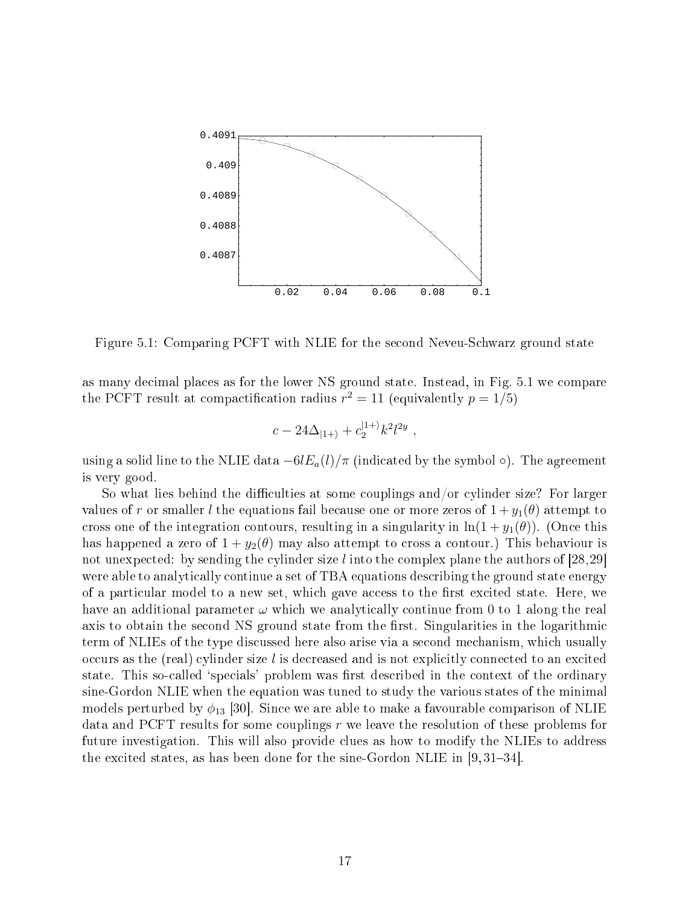

Figure 5.1: Comparing PCFT with NLIE for the se
ond Neveu-S
hwarz ground state

as many decimal places as for the lower NS ground state. Instead, in Fig. 5.1 we compare the PCFT result at compactification radius  $r^2 = 11$  (equivalently  $p = 1/5$ )

$$
c - 24\Delta_{|1+\rangle} + c_2^{|1+\rangle} k^2 l^{2y} ,
$$

using a solid line to the NLIE data  $-6lE_a(l)/\pi$  (indicated by the symbol  $\circ$ ). The agreement is very good.

So what lies behind the difficulties at some couplings and/or cylinder size? For larger values of r or smaller l the equations fail because one or more zeros of  $1+y_1(\theta)$  attempt to cross one of the integration contours, resulting in a singularity in  $\ln(1+y_1(\theta))$ . (Once this has happened a zero of  $1 + y_2(\theta)$  may also attempt to cross a contour.) This behaviour is not unexpected: by sending the cylinder size l into the complex plane the authors of  $[28, 29]$ were able to analytically continue a set of TBA equations describing the ground state energy of a particular model to a new set, which gave access to the first excited state. Here, we have an additional parameter  $\omega$  which we analytically continue from 0 to 1 along the real axis to obtain the second NS ground state from the first. Singularities in the logarithmic term of NLIEs of the type dis
ussed here also arise via a se
ond me
hanism, whi
h usually occurs as the (real) cylinder size  $l$  is decreased and is not explicitly connected to an excited state. This so-called 'specials' problem was first described in the context of the ordinary sine-Gordon NLIE when the equation was tuned to study the various states of the minimal models perturbed by  $\phi_{13}$  [30]. Since we are able to make a favourable comparison of NLIE data and PCFT results for some couplings  $r$  we leave the resolution of these problems for future investigation. This will also provide clues as how to modify the NLIEs to address the excited states, as has been done for the sine-Gordon NLIE in  $[9, 31-34]$ .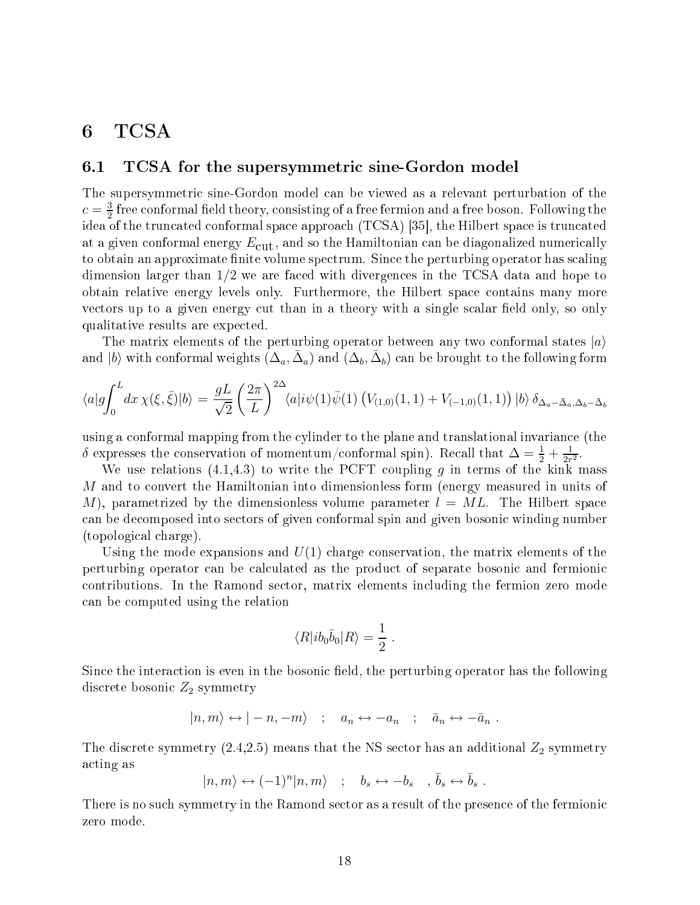# 6 TCSA

### 6.1 TCSA for the supersymmetric sine-Gordon model

The supersymmetric sine-Gordon model can be viewed as a relevant perturbation of the  $c=\frac{3}{2}$ 2 free comormal field theory, consisting or a free fermion and a free boson. Following the idea of the truncated conformal space approach (TCSA) [35], the Hilbert space is truncated at a given conformal energy  $E_\mathrm{cut},$  and so the Hamiltonian can be diagonalized numerically to obtain an approximate finite volume spectrum. Since the perturbing operator has scaling dimension larger than 1/2 we are fa
ed with divergen
es in the TCSA data and hope to obtain relative energy levels only. Furthermore, the Hilbert spa
e ontains many more vectors up to a given energy cut than in a theory with a single scalar field only, so only qualitative results are expe
ted.

The matrix elements of the perturbing operator between any two conformal states  $|a\rangle$ and  $|b\rangle$  with conformal weights  $(\Delta_a, \bar{\Delta}_a)$  and  $(\Delta_b, \bar{\Delta}_b)$  can be brought to the following form

$$
\langle a|g\int_0^L dx\,\chi(\xi,\bar{\xi})|b\rangle = \frac{gL}{\sqrt{2}}\left(\frac{2\pi}{L}\right)^{2\Delta}\langle a|i\psi(1)\bar{\psi}(1)\left(V_{(1,0)}(1,1)+V_{(-1,0)}(1,1)\right)|b\rangle\,\delta_{\Delta_a-\bar{\Delta}_a,\Delta_b-\bar{\Delta}_b}
$$

using a onformal mapping from the ylinder to the plane and translational invarian
e (the δ expresses the conservation of momentum/conformal spin). Recall that  $\Delta = \frac{1}{2} + \frac{1}{2r}$  $2r^2$  .

We use relations  $(4.1, 4.3)$  to write the PCFT coupling g in terms of the kink mass M and to convert the Hamiltonian into dimensionless form (energy measured in units of M), parametrized by the dimensionless volume parameter  $l = ML$ . The Hilbert space an be de
omposed into se
tors of given onformal spin and given bosoni winding number (topologi
al harge).

Using the mode expansions and  $U(1)$  charge conservation, the matrix elements of the perturbing operator an be al
ulated as the produ
t of separate bosoni and fermioni contributions. In the Ramond sector, matrix elements including the fermion zero mode an be omputed using the relation

$$
\langle R | i b_0 \bar{b}_0 | R \rangle = \frac{1}{2} .
$$

Since the interaction is even in the bosonic field, the perturbing operator has the following discrete bosonic  $Z_2$  symmetry

$$
|n,m\rangle \leftrightarrow |-n,-m\rangle \quad ; \quad a_n \leftrightarrow -a_n \quad ; \quad \bar{a}_n \leftrightarrow -\bar{a}_n \; .
$$

The discrete symmetry  $(2.4,2.5)$  means that the NS sector has an additional  $Z_2$  symmetry a
ting as

$$
|n,m\rangle \leftrightarrow (-1)^n |n,m\rangle \quad ; \quad b_s \leftrightarrow -b_s \quad , \bar{b}_s \leftrightarrow \bar{b}_s .
$$

There is no such symmetry in the Ramond sector as a result of the presence of the fermionic zero mode.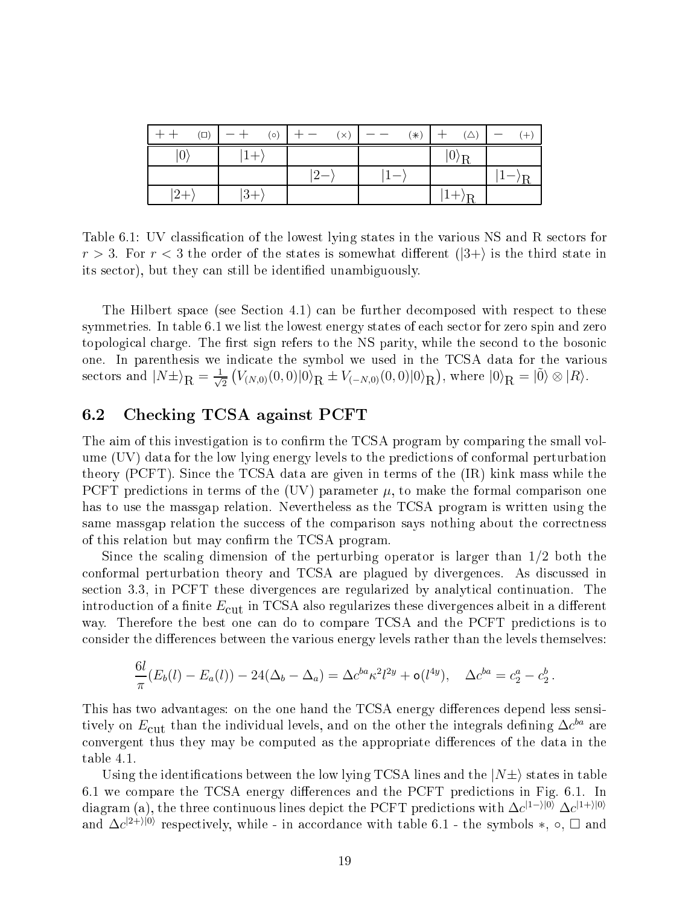| $(\Box)$     | $(\circ)$<br>$+ - + -$ | (x)            |              | $(*)$ $+$ $(\triangle)$ | $(+)$                |
|--------------|------------------------|----------------|--------------|-------------------------|----------------------|
| $ 0\rangle$  | $ 1+\rangle$           |                |              | $ 0\rangle_{\rm R}$     |                      |
|              |                        | $ 2 - \rangle$ | $ 1-\rangle$ |                         | $ 1-\rangle_{\rm R}$ |
| $ 2+\rangle$ | $ 3+\rangle$           |                |              | $ 1+\rangle_{\text{R}}$ |                      |

Table 6.1: UV classification of the lowest lying states in the various NS and R sectors for  $r > 3$ . For  $r < 3$  the order of the states is somewhat different ( $|3+\rangle$ ) is the third state in its sector), but they can still be identified unambiguously.

The Hilbert spa
e (see Se
tion 4.1) an be further de
omposed with respe
t to these symmetries. In table 6.1 we list the lowest energy states of each sector for zero spin and zero topological charge. The first sign refers to the NS parity, while the second to the bosonic one. In parenthesis we indicate the symbol we used in the TCSA data for the various sectors and  $|N\pm\rangle_{\text{R}} = \frac{1}{\sqrt{}}$  $\frac{1}{2} \left( V_{(N,0)}(0,0) |0\rangle_{\mathbf{R}} \pm V_{(-N,0)}(0,0) |0\rangle_{\mathbf{R}} \right)$ , where  $|0\rangle_{\mathbf{R}} = |\tilde{0}\rangle \otimes |R\rangle$ .

# 6.2 Che
king TCSA against PCFT

The aim of this investigation is to confirm the TCSA program by comparing the small volume (UV) data for the low lying energy levels to the predi
tions of onformal perturbation theory (PCFT). Sin
e the TCSA data are given in terms of the (IR) kink mass while the PCFT predictions in terms of the  $(UV)$  parameter  $\mu$ , to make the formal comparison one has to use the massgap relation. Nevertheless as the TCSA program is written using the same massgap relation the success of the comparison says nothing about the correctness of this relation but may confirm the TCSA program.

Since the scaling dimension of the perturbing operator is larger than  $1/2$  both the onformal perturbation theory and TCSA are plagued by divergen
es. As dis
ussed in section 3.3, in PCFT these divergences are regularized by analytical continuation. The introduction of a finite  $E_{\rm cut}$  in TCSA also regularizes these divergences albeit in a different way. Therefore the best one can do to compare TCSA and the PCFT predictions is to consider the differences between the various energy levels rather than the levels themselves:

$$
\frac{6l}{\pi}(E_b(l) - E_a(l)) - 24(\Delta_b - \Delta_a) = \Delta c^{ba} \kappa^2 l^{2y} + o(l^{4y}), \quad \Delta c^{ba} = c_2^a - c_2^b.
$$

This has two advantages: on the one hand the TCSA energy differences depend less sensitively on  $E_{\text{cut}}$  than the individual levels, and on the other the integrals defining  $\Delta c^{ba}$  are convergent thus they may be computed as the appropriate differences of the data in the table 4.1.

Using the identifications between the low lying TCSA lines and the  $|N\pm\rangle$  states in table 6.1 we compare the TCSA energy differences and the PCFT predictions in Fig. 6.1. In diagram (a), the three continuous lines depict the PCFT predictions with  $\Delta c^{|1-\rangle|0\rangle} \Delta c^{|1+\rangle|0\rangle}$ and  $\Delta c^{|2+|0\rangle}$  respectively, while - in accordance with table 6.1 - the symbols  $*, \circ, \Box$  and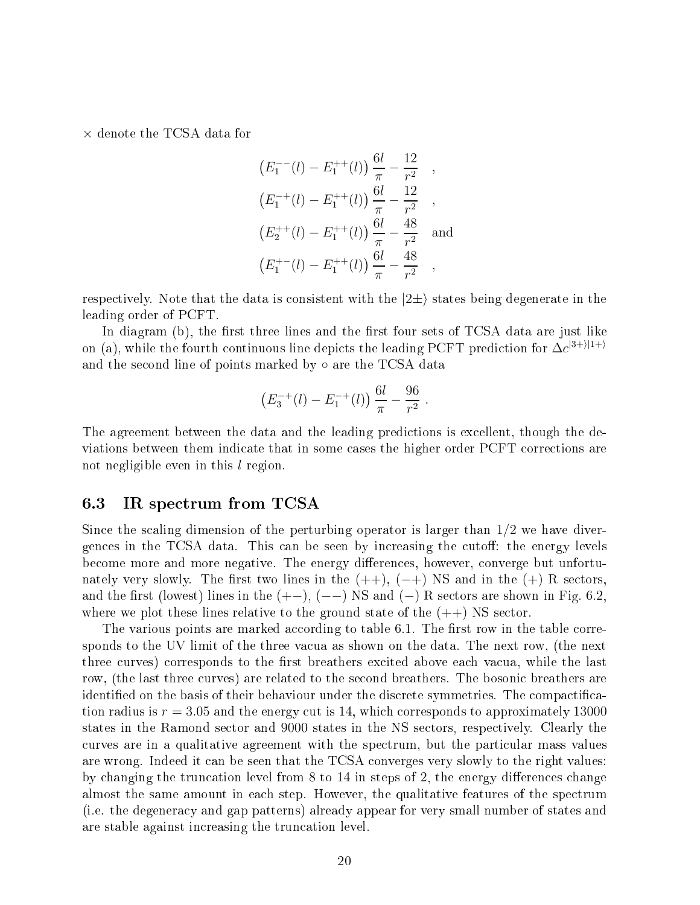× denote the TCSA data for

$$
(E_1^{--}(l) - E_1^{++}(l)) \frac{6l}{\pi} - \frac{12}{r^2} ,
$$
  
\n
$$
(E_1^{-+}(l) - E_1^{++}(l)) \frac{6l}{\pi} - \frac{12}{r^2} ,
$$
  
\n
$$
(E_2^{++}(l) - E_1^{++}(l)) \frac{6l}{\pi} - \frac{48}{r^2} \text{ and}
$$
  
\n
$$
(E_1^{+-}(l) - E_1^{++}(l)) \frac{6l}{\pi} - \frac{48}{r^2} ,
$$

respectively. Note that the data is consistent with the  $(2\pm)$  states being degenerate in the leading order of PCFT.

In diagram  $(b)$ , the first three lines and the first four sets of TCSA data are just like on (a), while the fourth continuous line depicts the leading PCFT prediction for  $\Delta c^{|3+\rangle |1+\rangle}$ and the second line of points marked by ○ are the TCSA data

$$
(E_3^{-+}(l) - E_1^{-+}(l)) \frac{6l}{\pi} - \frac{96}{r^2}.
$$

The agreement between the data and the leading predictions is excellent, though the deviations between them indicate that in some cases the higher order PCFT corrections are not negligible even in this  $l$  region.

### 6.3 IR spe
trum from TCSA

Since the scaling dimension of the perturbing operator is larger than  $1/2$  we have divergences in the TCSA data. This can be seen by increasing the cutoff: the energy levels become more and more negative. The energy differences, however, converge but unfortunately very slowly. The first two lines in the  $(++)$ ,  $(-+)$  NS and in the  $(+)$  R sectors, and the first (lowest) lines in the  $(+-)$ ,  $(--)$  NS and  $(-)$  R sectors are shown in Fig. 6.2, where we plot these lines relative to the ground state of the  $(++)$  NS sector.

The various points are marked according to table 6.1. The first row in the table corresponds to the UV limit of the three vacua as shown on the data. The next row, (the next three curves) corresponds to the first breathers excited above each vacua, while the last row, (the last three curves) are related to the second breathers. The bosonic breathers are identified on the basis of their behaviour under the discrete symmetries. The compactification radius is  $r = 3.05$  and the energy cut is 14, which corresponds to approximately 13000 states in the Ramond sector and 9000 states in the NS sectors, respectively. Clearly the urves are in a qualitative agreement with the spe
trum, but the parti
ular mass values are wrong. Indeed it an be seen that the TCSA onverges very slowly to the right values: by changing the truncation level from 8 to 14 in steps of 2, the energy differences change almost the same amount in each step. However, the qualitative features of the spectrum (i.e. the degenera
y and gap patterns) already appear for very small number of states and are stable against in
reasing the trun
ation level.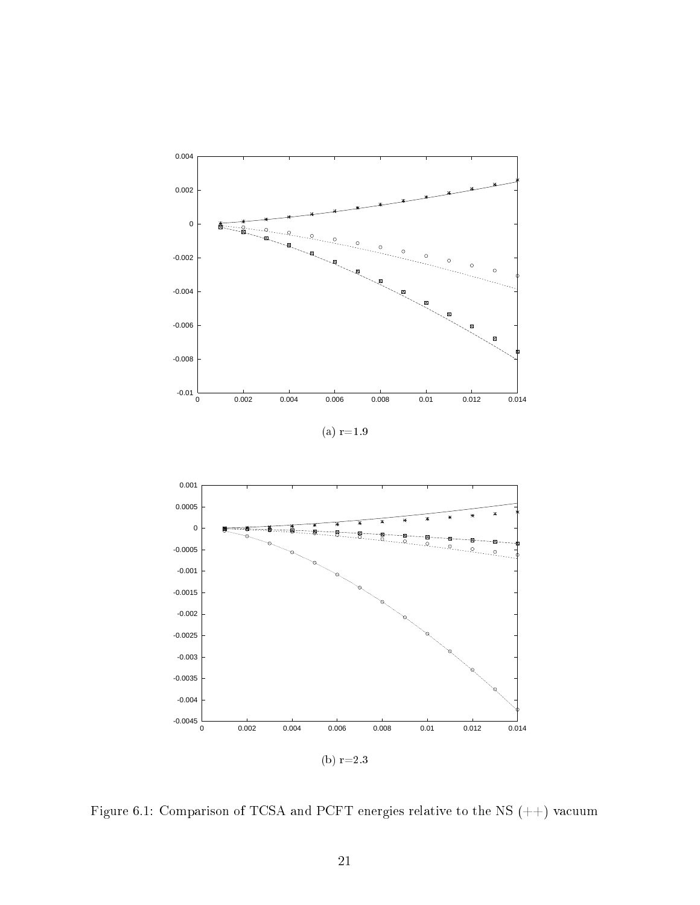

(b) r=2.3

Figure 6.1: Comparison of TCSA and PCFT energies relative to the NS  $(++)$  vacuum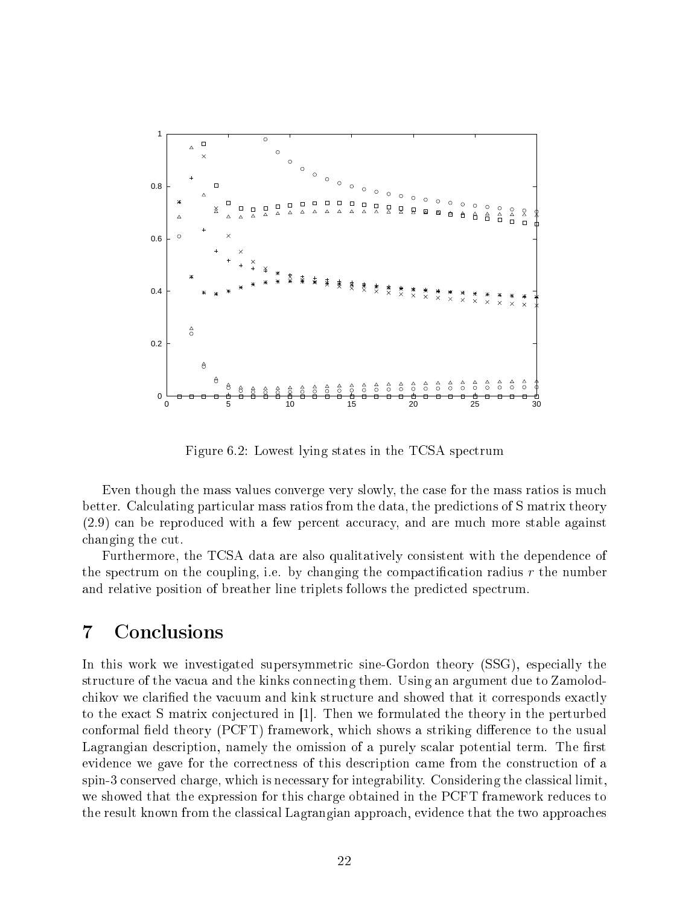

Figure 6.2: Lowest lying states in the TCSA spectrum

Even though the mass values converge very slowly, the case for the mass ratios is much better. Calculating particular mass ratios from the data, the predictions of S matrix theory (2.9) an be reprodu
ed with a few per
ent a

ura
y, and are mu
h more stable against changing the cut.

Furthermore, the TCSA data are also qualitatively onsistent with the dependen
e of the spectrum on the coupling, i.e. by changing the compactification radius  $r$  the number and relative position of breather line triplets follows the predicted spectrum.

#### $\overline{7}$ **Conclusions**

In this work we investigated supersymmetric sine-Gordon theory (SSG), especially the structure of the vacua and the kinks connecting them. Using an argument due to Zamolodchikov we clarified the vacuum and kink structure and showed that it corresponds exactly to the exact S matrix conjectured in  $[1]$ . Then we formulated the theory in the perturbed conformal field theory (PCFT) framework, which shows a striking difference to the usual Lagrangian description, namely the omission of a purely scalar potential term. The first evidence we gave for the correctness of this description came from the construction of a spin-3 conserved charge, which is necessary for integrability. Considering the classical limit, we showed that the expression for this charge obtained in the PCFT framework reduces to the result known from the lassi
al Lagrangian approa
h, eviden
e that the two approa
hes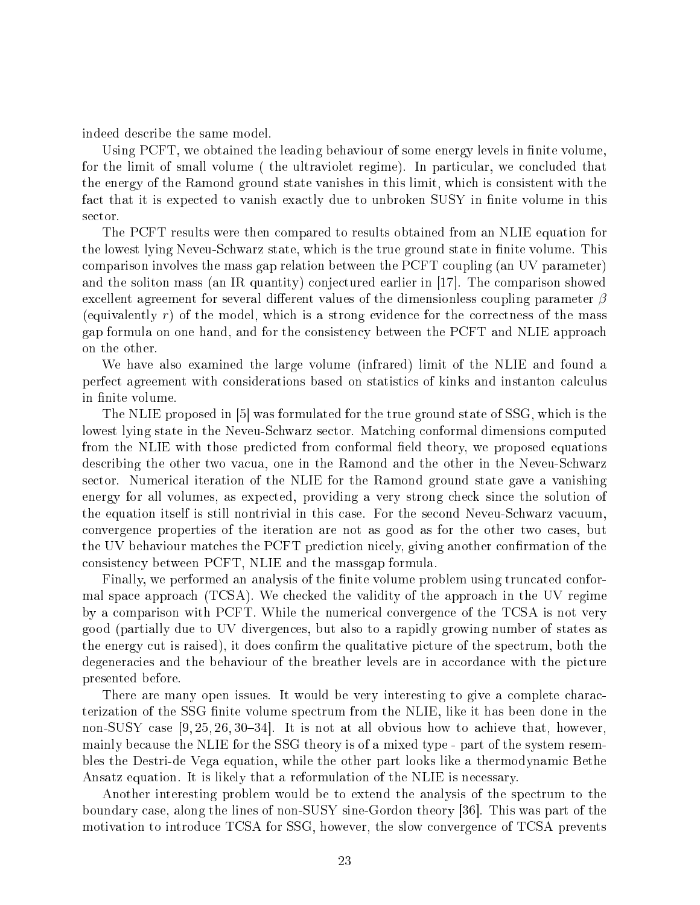indeed des
ribe the same model.

Using PCFT, we obtained the leading behaviour of some energy levels in finite volume, for the limit of small volume (the ultraviolet regime). In particular, we concluded that the energy of the Ramond ground state vanishes in this limit, whi
h is onsistent with the fact that it is expected to vanish exactly due to unbroken SUSY in finite volume in this sector.

The PCFT results were then ompared to results obtained from an NLIE equation for the lowest lying Neveu-Schwarz state, which is the true ground state in finite volume. This omparison involves the mass gap relation between the PCFT oupling (an UV parameter) and the soliton mass (an IR quantity) conjectured earlier in  $[17]$ . The comparison showed excellent agreement for several different values of the dimensionless coupling parameter  $\beta$ (equivalently r) of the model, which is a strong evidence for the correctness of the mass gap formula on one hand, and for the onsisten
y between the PCFT and NLIE approa
h on the other.

We have also examined the large volume (infrared) limit of the NLIE and found a perfe
t agreement with onsiderations based on statisti
s of kinks and instanton al
ulus in finite volume.

The NLIE proposed in [5] was formulated for the true ground state of SSG, which is the lowest lying state in the Neveu-Schwarz sector. Matching conformal dimensions computed from the NLIE with those predicted from conformal field theory, we proposed equations describing the other two vacua, one in the Ramond and the other in the Neveu-Schwarz sector. Numerical iteration of the NLIE for the Ramond ground state gave a vanishing energy for all volumes, as expected, providing a very strong check since the solution of the equation itself is still nontrivial in this case. For the second Neveu-Schwarz vacuum, convergence properties of the iteration are not as good as for the other two cases, but the UV behaviour matches the PCFT prediction nicely, giving another confirmation of the onsisten
y between PCFT, NLIE and the massgap formula.

Finally, we performed an analysis of the finite volume problem using truncated conformal space approach (TCSA). We checked the validity of the approach in the UV regime by a omparison with PCFT. While the numeri
al onvergen
e of the TCSA is not very good (partially due to UV divergen
es, but also to a rapidly growing number of states as the energy cut is raised), it does confirm the qualitative picture of the spectrum, both the degeneracies and the behaviour of the breather levels are in accordance with the picture presented before.

There are many open issues. It would be very interesting to give a complete characterization of the SSG finite volume spectrum from the NLIE, like it has been done in the non-SUSY case  $[9, 25, 26, 30-34]$ . It is not at all obvious how to achieve that, however, mainly because the NLIE for the SSG theory is of a mixed type - part of the system resembles the Destri-de Vega equation, while the other part looks like a thermodynami Bethe Ansatz equation. It is likely that a reformulation of the NLIE is ne
essary.

Another interesting problem would be to extend the analysis of the spectrum to the boundary case, along the lines of non-SUSY sine-Gordon theory [36]. This was part of the motivation to introdu
e TCSA for SSG, however, the slow onvergen
e of TCSA prevents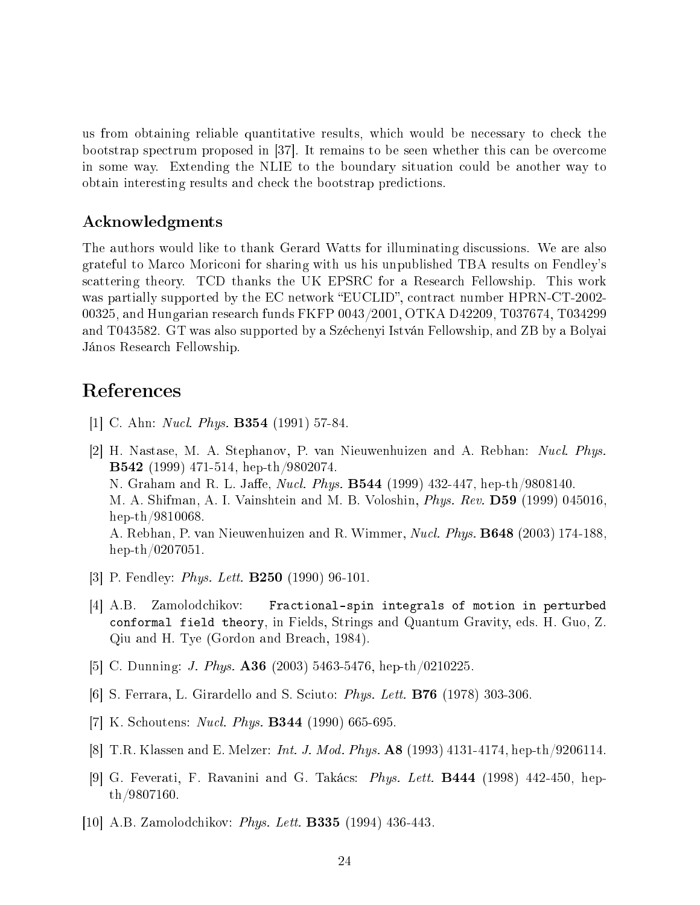us from obtaining reliable quantitative results, which would be necessary to check the bootstrap spectrum proposed in [37]. It remains to be seen whether this can be overcome in some way. Extending the NLIE to the boundary situation could be another way to obtain interesting results and check the bootstrap predictions.

# A
knowledgments

The authors would like to thank Gerard Watts for illuminating dis
ussions. We are also grateful to Mar
o Mori
oni for sharing with us his unpublished TBA results on Fendley's s
attering theory. TCD thanks the UK EPSRC for a Resear
h Fellowship. This work was partially supported by the EC network "EUCLID", contract number HPRN-CT-2002-00325, and Hungarian resear
h funds FKFP 0043/2001, OTKA D42209, T037674, T034299 and T043582. GT was also supported by a Szé
henyi István Fellowship, and ZB by a Bolyai János Resear
h Fellowship.

# Referen
es

- $[1]$  C. Ahn: *Nucl. Phys.* **B354** (1991) 57-84.
- [2] H. Nastase, M. A. Stephanov, P. van Nieuwenhuizen and A. Rebhan: Nucl. Phys. B542 (1999) 471-514, hep-th/9802074. N. Graham and R. L. Jaffe, *Nucl. Phys.*  $B544$  (1999) 432-447, hep-th/9808140. M. A. Shifman, A. I. Vainshtein and M. B. Voloshin, *Phys. Rev.* **D59** (1999) 045016, hep-th/9810068. A. Rebhan, P. van Nieuwenhuizen and R. Wimmer, *Nucl. Phys.* **B648** (2003) 174-188, hep-th/0207051.
- [3] P. Fendley: *Phys. Lett.* **B250** (1990) 96-101.
- $|4|$  A.B. Zamolodchikov: Fractional-spin integrals of motion in perturbed onformal field theory, in Fields, Strings and Quantum Gravity, eds. H. Guo, Z. Qiu and H. Tye (Gordon and Brea
h, 1984).
- [5] C. Dunning: *J. Phys.* A36 (2003) 5463-5476, hep-th/0210225.
- [6] S. Ferrara, L. Girardello and S. Sciuto: *Phys. Lett.* **B76** (1978) 303-306.
- [7] K. Schoutens: Nucl. Phys. B344 (1990) 665-695.
- [8] T.R. Klassen and E. Melzer: *Int. J. Mod. Phys.*  $\mathbf{A8}$  (1993) 4131-4174, hep-th/9206114.
- [9] G. Feverati, F. Ravanini and G. Takács: Phys. Lett. **B444** (1998) 442-450, hepth/9807160.
- [10] A.B. Zamolodchikov: *Phys. Lett.* **B335** (1994) 436-443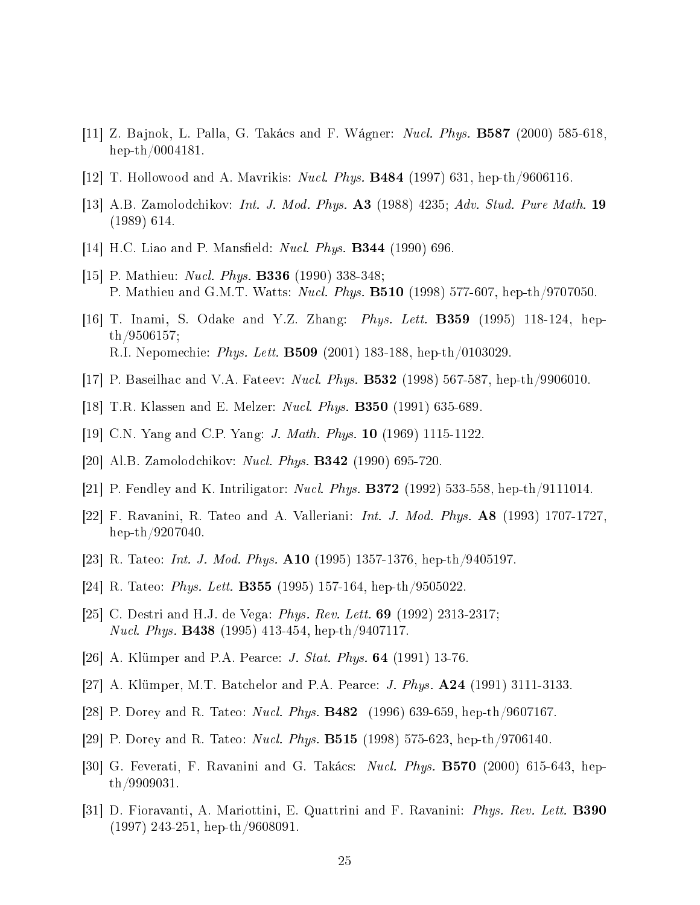- [11] Z. Bajnok, L. Palla, G. Takács and F. Wágner: *Nucl. Phys.* **B587** (2000) 585-618, hep-th/0004181.
- [12] T. Hollowood and A. Mavrikis: *Nucl. Phys.* **B484** (1997) 631, hep-th/9606116.
- [13] A.B. Zamolodchikov: *Int. J. Mod. Phys.*  $\mathbf{A3}$  (1988) 4235; Adv. Stud. Pure Math. 19 (1989) 614.
- [14] H.C. Liao and P. Mansfield: *Nucl. Phys.* **B344** (1990) 696.
- [15] P. Mathieu: *Nucl. Phys.* **B336** (1990) 338-348; P. Mathieu and G.M.T. Watts: *Nucl. Phys.* **B510** (1998) 577-607, hep-th/9707050.
- [16] T. Inami, S. Odake and Y.Z. Zhang: *Phys. Lett.* **B359** (1995) 118-124, hepth/9506157; R.I. Nepomechie: *Phys. Lett.* **B509** (2001) 183-188, hep-th/0103029.
- [17] P. Baseilhac and V.A. Fateev: *Nucl. Phys.* **B532** (1998) 567-587, hep-th/9906010.
- [18] T.R. Klassen and E. Melzer: *Nucl. Phys.* **B350** (1991) 635-689.
- [19] C.N. Yang and C.P. Yang: *J. Math. Phys.* **10** (1969) 1115-1122.
- [20] Al.B. Zamolodchikov: *Nucl. Phys.* **B342** (1990) 695-720.
- [21] P. Fendley and K. Intriligator: *Nucl. Phys.* **B372** (1992) 533-558, hep-th/9111014.
- [22] F. Ravanini, R. Tateo and A. Valleriani: *Int. J. Mod. Phys.*  $\mathbf{A8}$  (1993) 1707-1727, hep-th/9207040.
- [23] R. Tateo: *Int. J. Mod. Phys.* A10 (1995) 1357-1376, hep-th/9405197.
- [24] R. Tateo: *Phys. Lett.* **B355** (1995) 157-164, hep-th/9505022.
- [25] C. Destri and H.J. de Vega: *Phys. Rev. Lett.* **69** (1992) 2313-2317; Nucl. Phys. **B438** (1995) 413-454, hep-th/9407117.
- $[26]$  A. Klümper and P.A. Pearce: *J. Stat. Phys.* **64** (1991) 13-76.
- [27] A. Klümper, M.T. Batchelor and P.A. Pearce: *J. Phys.*  $\mathbf{A24}$  (1991) 3111-3133.
- [28] P. Dorey and R. Tateo: *Nucl. Phys.* **B482** (1996) 639-659, hep-th/9607167.
- [29] P. Dorey and R. Tateo: *Nucl. Phys.* **B515** (1998) 575-623, hep-th/9706140.
- [30] G. Feverati, F. Ravanini and G. Takács: Nucl. Phys. **B570** (2000) 615-643, hepth/9909031.
- [31] D. Fioravanti, A. Mariottini, E. Quattrini and F. Ravanini: *Phys. Rev. Lett.* **B390** (1997) 243-251, hep-th/9608091.